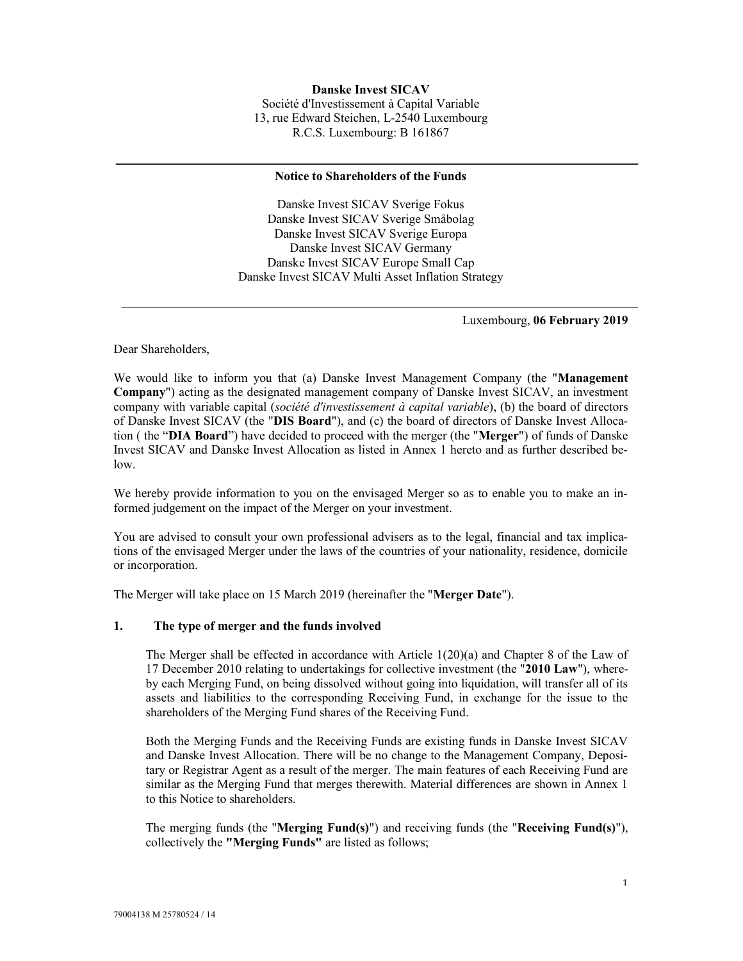#### Notice to Shareholders of the Funds

Danske Invest SICAV Sverige Fokus Danske Invest SICAV Sverige Småbolag Danske Invest SICAV Sverige Europa Danske Invest SICAV Germany Danske Invest SICAV Europe Small Cap Danske Invest SICAV Multi Asset Inflation Strategy

Luxembourg, 06 February 2019

Dear Shareholders,

We would like to inform you that (a) Danske Invest Management Company (the "**Management** Company") acting as the designated management company of Danske Invest SICAV, an investment company with variable capital (société d'investissement à capital variable), (b) the board of directors of Danske Invest SICAV (the "DIS Board"), and (c) the board of directors of Danske Invest Allocation ( the "DIA Board") have decided to proceed with the merger (the "Merger") of funds of Danske Invest SICAV and Danske Invest Allocation as listed in Annex 1 hereto and as further described below.

We hereby provide information to you on the envisaged Merger so as to enable you to make an informed judgement on the impact of the Merger on your investment.

You are advised to consult your own professional advisers as to the legal, financial and tax implications of the envisaged Merger under the laws of the countries of your nationality, residence, domicile or incorporation.

The Merger will take place on 15 March 2019 (hereinafter the "Merger Date").

#### 1. The type of merger and the funds involved

The Merger shall be effected in accordance with Article 1(20)(a) and Chapter 8 of the Law of 17 December 2010 relating to undertakings for collective investment (the "2010 Law"), whereby each Merging Fund, on being dissolved without going into liquidation, will transfer all of its assets and liabilities to the corresponding Receiving Fund, in exchange for the issue to the shareholders of the Merging Fund shares of the Receiving Fund.

Both the Merging Funds and the Receiving Funds are existing funds in Danske Invest SICAV and Danske Invest Allocation. There will be no change to the Management Company, Depositary or Registrar Agent as a result of the merger. The main features of each Receiving Fund are similar as the Merging Fund that merges therewith. Material differences are shown in Annex 1 to this Notice to shareholders.

The merging funds (the "Merging Fund(s)") and receiving funds (the "Receiving Fund(s)"), collectively the "Merging Funds" are listed as follows;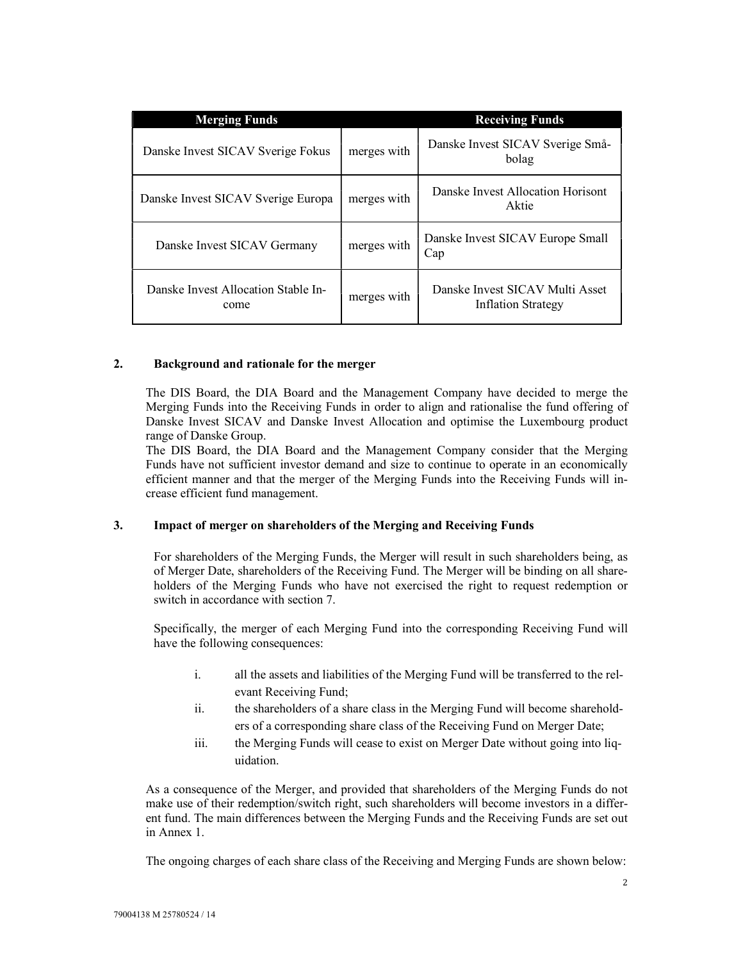| <b>Merging Funds</b>                        |             | <b>Receiving Funds</b>                                |
|---------------------------------------------|-------------|-------------------------------------------------------|
| Danske Invest SICAV Sverige Fokus           | merges with | Danske Invest SICAV Sverige Små-<br>bolag             |
| Danske Invest SICAV Sverige Europa          | merges with | Danske Invest Allocation Horisont<br>Aktie            |
| Danske Invest SICAV Germany                 | merges with | Danske Invest SICAV Europe Small<br>Cap               |
| Danske Invest Allocation Stable In-<br>come | merges with | Danske Invest SICAV Multi Asset<br>Inflation Strategy |

#### 2. Background and rationale for the merger

The DIS Board, the DIA Board and the Management Company have decided to merge the Merging Funds into the Receiving Funds in order to align and rationalise the fund offering of Danske Invest SICAV and Danske Invest Allocation and optimise the Luxembourg product range of Danske Group.

The DIS Board, the DIA Board and the Management Company consider that the Merging Funds have not sufficient investor demand and size to continue to operate in an economically efficient manner and that the merger of the Merging Funds into the Receiving Funds will increase efficient fund management.

#### 3. Impact of merger on shareholders of the Merging and Receiving Funds

For shareholders of the Merging Funds, the Merger will result in such shareholders being, as of Merger Date, shareholders of the Receiving Fund. The Merger will be binding on all shareholders of the Merging Funds who have not exercised the right to request redemption or switch in accordance with section 7.

Specifically, the merger of each Merging Fund into the corresponding Receiving Fund will have the following consequences:

- i. all the assets and liabilities of the Merging Fund will be transferred to the relevant Receiving Fund;
- ii. the shareholders of a share class in the Merging Fund will become shareholders of a corresponding share class of the Receiving Fund on Merger Date;
- iii. the Merging Funds will cease to exist on Merger Date without going into liquidation.

As a consequence of the Merger, and provided that shareholders of the Merging Funds do not make use of their redemption/switch right, such shareholders will become investors in a different fund. The main differences between the Merging Funds and the Receiving Funds are set out in Annex 1.

The ongoing charges of each share class of the Receiving and Merging Funds are shown below: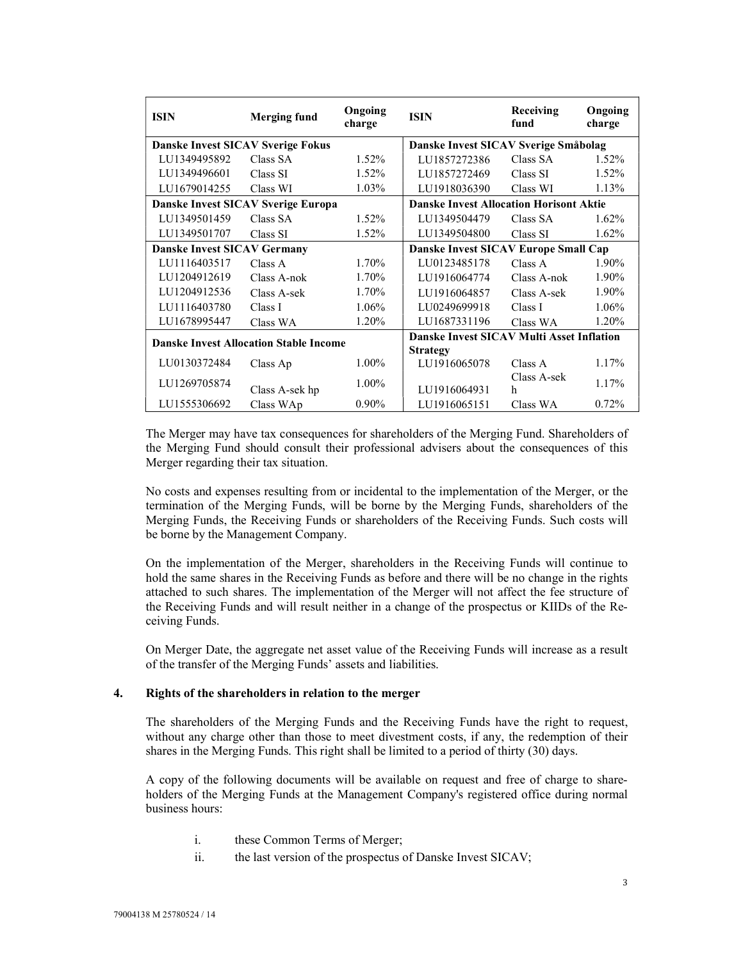| <b>ISIN</b>                        | <b>Merging fund</b>                           | Ongoing<br>charge | <b>ISIN</b>                                      | Receiving<br>fund | Ongoing<br>charge |
|------------------------------------|-----------------------------------------------|-------------------|--------------------------------------------------|-------------------|-------------------|
|                                    | <b>Danske Invest SICAV Sverige Fokus</b>      |                   | Danske Invest SICAV Sverige Småbolag             |                   |                   |
| LU1349495892                       | Class SA                                      | 1.52%             | LU1857272386                                     | Class SA          | 1.52%             |
| LU1349496601                       | Class SI                                      | 1.52%             | LU1857272469                                     | Class SI          | 1.52%             |
| LU1679014255                       | Class WI                                      | 1.03%             | LU1918036390                                     | Class WI          | 1.13%             |
|                                    | Danske Invest SICAV Sverige Europa            |                   | <b>Danske Invest Allocation Horisont Aktie</b>   |                   |                   |
| LU1349501459                       | Class SA                                      | 1.52%             | LU1349504479                                     | Class SA          | $1.62\%$          |
| LU1349501707                       | Class SI                                      | 1.52%             | LU1349504800                                     | Class SI          | 1.62%             |
| <b>Danske Invest SICAV Germany</b> |                                               |                   | Danske Invest SICAV Europe Small Cap             |                   |                   |
| LU1116403517                       | Class A                                       | 1.70%             | LU0123485178                                     | Class A           | 1.90%             |
| LU1204912619                       | Class A-nok                                   | 1.70%             | LU1916064774                                     | Class A-nok       | 1.90%             |
| LU1204912536                       | Class A-sek                                   | 1.70%             | LU1916064857                                     | Class A-sek       | 1.90%             |
| LU1116403780                       | Class I                                       | 1.06%             | LU0249699918                                     | Class I           | 1.06%             |
| LU1678995447                       | Class WA                                      | 1.20%             | LU1687331196                                     | Class WA          | 1.20%             |
|                                    | <b>Danske Invest Allocation Stable Income</b> |                   | <b>Danske Invest SICAV Multi Asset Inflation</b> |                   |                   |
|                                    |                                               |                   | <b>Strategy</b>                                  |                   |                   |
| LU0130372484                       | Class Ap                                      | $1.00\%$          | LU1916065078                                     | Class A           | $1.17\%$          |
| LU1269705874                       |                                               | 1.00%             |                                                  | Class A-sek       | $1.17\%$          |
|                                    | Class A-sek hp                                |                   | LU1916064931                                     | h                 |                   |
| LU1555306692                       | Class WAp                                     | $0.90\%$          | LU1916065151                                     | Class WA          | 0.72%             |

The Merger may have tax consequences for shareholders of the Merging Fund. Shareholders of the Merging Fund should consult their professional advisers about the consequences of this Merger regarding their tax situation.

No costs and expenses resulting from or incidental to the implementation of the Merger, or the termination of the Merging Funds, will be borne by the Merging Funds, shareholders of the Merging Funds, the Receiving Funds or shareholders of the Receiving Funds. Such costs will be borne by the Management Company.

On the implementation of the Merger, shareholders in the Receiving Funds will continue to hold the same shares in the Receiving Funds as before and there will be no change in the rights attached to such shares. The implementation of the Merger will not affect the fee structure of the Receiving Funds and will result neither in a change of the prospectus or KIIDs of the Receiving Funds.

On Merger Date, the aggregate net asset value of the Receiving Funds will increase as a result of the transfer of the Merging Funds' assets and liabilities.

#### 4. Rights of the shareholders in relation to the merger

The shareholders of the Merging Funds and the Receiving Funds have the right to request, without any charge other than those to meet divestment costs, if any, the redemption of their shares in the Merging Funds. This right shall be limited to a period of thirty (30) days.

A copy of the following documents will be available on request and free of charge to shareholders of the Merging Funds at the Management Company's registered office during normal business hours:

- i. these Common Terms of Merger;
- ii. the last version of the prospectus of Danske Invest SICAV;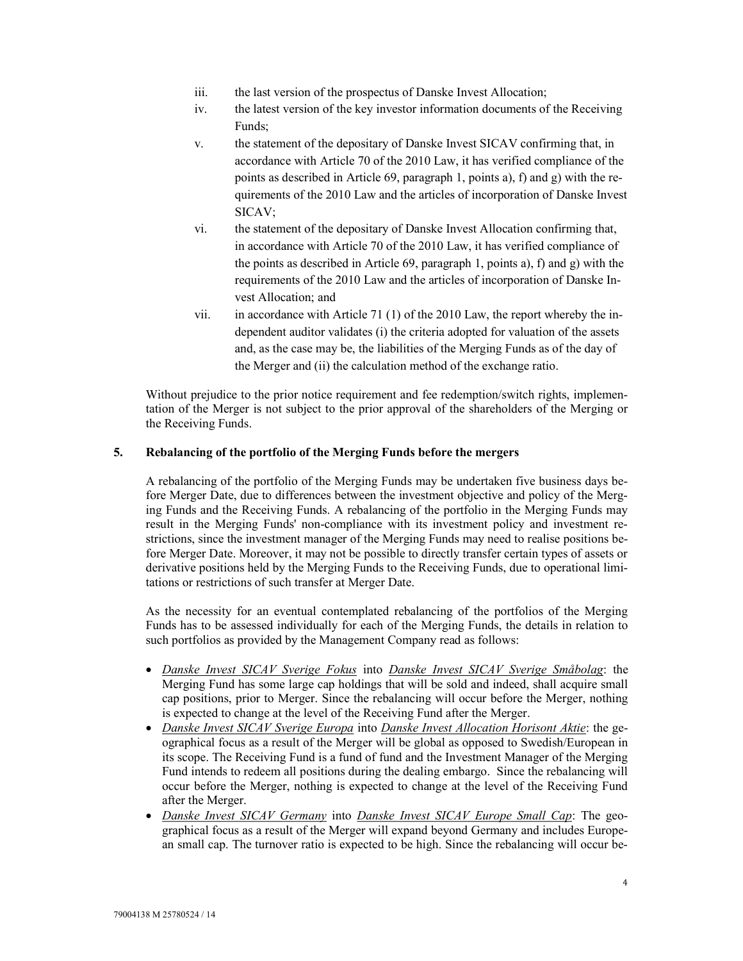- iii. the last version of the prospectus of Danske Invest Allocation;
- iv. the latest version of the key investor information documents of the Receiving Funds;
- v. the statement of the depositary of Danske Invest SICAV confirming that, in accordance with Article 70 of the 2010 Law, it has verified compliance of the points as described in Article 69, paragraph 1, points a), f) and g) with the requirements of the 2010 Law and the articles of incorporation of Danske Invest SICAV;
- vi. the statement of the depositary of Danske Invest Allocation confirming that, in accordance with Article 70 of the 2010 Law, it has verified compliance of the points as described in Article 69, paragraph 1, points a), f) and g) with the requirements of the 2010 Law and the articles of incorporation of Danske Invest Allocation; and
- vii. in accordance with Article 71 (1) of the 2010 Law, the report whereby the independent auditor validates (i) the criteria adopted for valuation of the assets and, as the case may be, the liabilities of the Merging Funds as of the day of the Merger and (ii) the calculation method of the exchange ratio.

Without prejudice to the prior notice requirement and fee redemption/switch rights, implementation of the Merger is not subject to the prior approval of the shareholders of the Merging or the Receiving Funds.

#### 5. Rebalancing of the portfolio of the Merging Funds before the mergers

A rebalancing of the portfolio of the Merging Funds may be undertaken five business days before Merger Date, due to differences between the investment objective and policy of the Merging Funds and the Receiving Funds. A rebalancing of the portfolio in the Merging Funds may result in the Merging Funds' non-compliance with its investment policy and investment restrictions, since the investment manager of the Merging Funds may need to realise positions before Merger Date. Moreover, it may not be possible to directly transfer certain types of assets or derivative positions held by the Merging Funds to the Receiving Funds, due to operational limitations or restrictions of such transfer at Merger Date.

As the necessity for an eventual contemplated rebalancing of the portfolios of the Merging Funds has to be assessed individually for each of the Merging Funds, the details in relation to such portfolios as provided by the Management Company read as follows:

- Danske Invest SICAV Sverige Fokus into Danske Invest SICAV Sverige Småbolag: the Merging Fund has some large cap holdings that will be sold and indeed, shall acquire small cap positions, prior to Merger. Since the rebalancing will occur before the Merger, nothing is expected to change at the level of the Receiving Fund after the Merger.
- Danske Invest SICAV Sverige Europa into Danske Invest Allocation Horisont Aktie: the geographical focus as a result of the Merger will be global as opposed to Swedish/European in its scope. The Receiving Fund is a fund of fund and the Investment Manager of the Merging Fund intends to redeem all positions during the dealing embargo. Since the rebalancing will occur before the Merger, nothing is expected to change at the level of the Receiving Fund after the Merger.
- Danske Invest SICAV Germany into Danske Invest SICAV Europe Small Cap: The geographical focus as a result of the Merger will expand beyond Germany and includes European small cap. The turnover ratio is expected to be high. Since the rebalancing will occur be-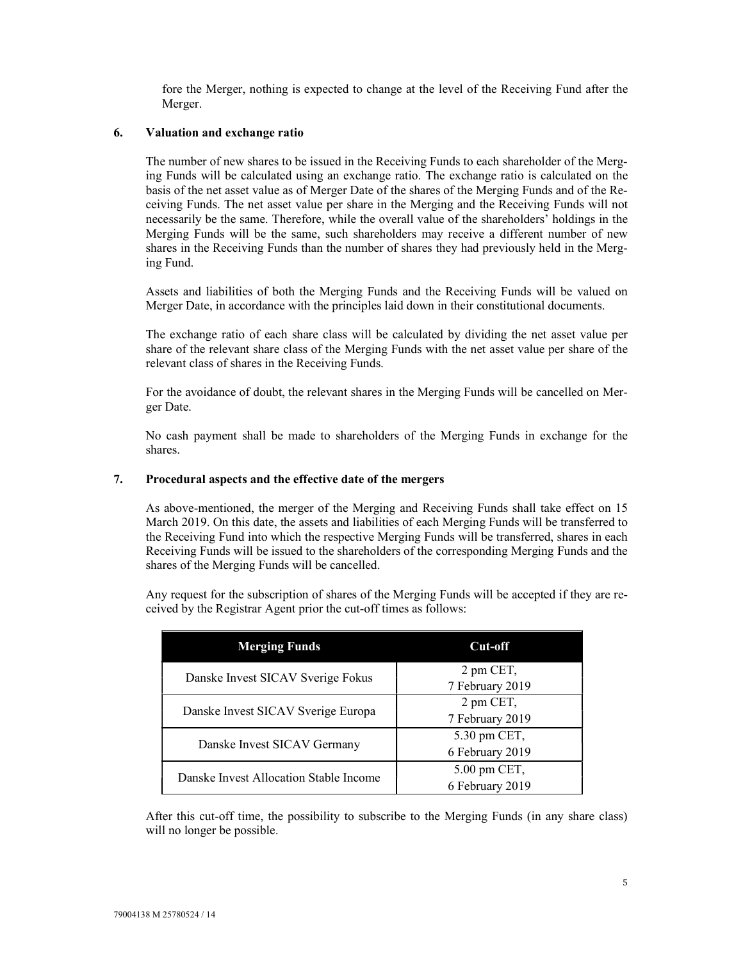fore the Merger, nothing is expected to change at the level of the Receiving Fund after the Merger.

#### 6. Valuation and exchange ratio

The number of new shares to be issued in the Receiving Funds to each shareholder of the Merging Funds will be calculated using an exchange ratio. The exchange ratio is calculated on the basis of the net asset value as of Merger Date of the shares of the Merging Funds and of the Receiving Funds. The net asset value per share in the Merging and the Receiving Funds will not necessarily be the same. Therefore, while the overall value of the shareholders' holdings in the Merging Funds will be the same, such shareholders may receive a different number of new shares in the Receiving Funds than the number of shares they had previously held in the Merging Fund.

Assets and liabilities of both the Merging Funds and the Receiving Funds will be valued on Merger Date, in accordance with the principles laid down in their constitutional documents.

The exchange ratio of each share class will be calculated by dividing the net asset value per share of the relevant share class of the Merging Funds with the net asset value per share of the relevant class of shares in the Receiving Funds.

For the avoidance of doubt, the relevant shares in the Merging Funds will be cancelled on Merger Date.

No cash payment shall be made to shareholders of the Merging Funds in exchange for the shares.

#### 7. Procedural aspects and the effective date of the mergers

As above-mentioned, the merger of the Merging and Receiving Funds shall take effect on 15 March 2019. On this date, the assets and liabilities of each Merging Funds will be transferred to the Receiving Fund into which the respective Merging Funds will be transferred, shares in each Receiving Funds will be issued to the shareholders of the corresponding Merging Funds and the shares of the Merging Funds will be cancelled.

Any request for the subscription of shares of the Merging Funds will be accepted if they are received by the Registrar Agent prior the cut-off times as follows:

| <b>Merging Funds</b>                   | Cut-off         |
|----------------------------------------|-----------------|
| Danske Invest SICAV Sverige Fokus      | 2 pm CET,       |
|                                        | 7 February 2019 |
|                                        | 2 pm CET,       |
| Danske Invest SICAV Sverige Europa     | 7 February 2019 |
|                                        | 5.30 pm CET,    |
| Danske Invest SICAV Germany            | 6 February 2019 |
| Danske Invest Allocation Stable Income | 5.00 pm CET,    |
|                                        | 6 February 2019 |

After this cut-off time, the possibility to subscribe to the Merging Funds (in any share class) will no longer be possible.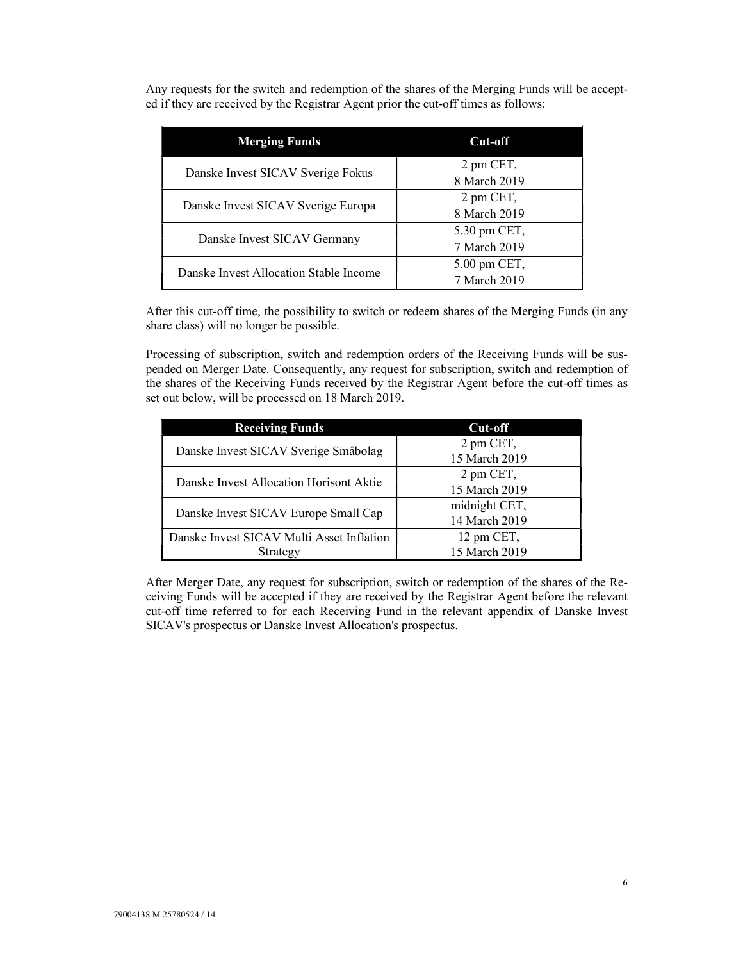Any requests for the switch and redemption of the shares of the Merging Funds will be accepted if they are received by the Registrar Agent prior the cut-off times as follows:

| <b>Merging Funds</b>                   | Cut-off      |
|----------------------------------------|--------------|
| Danske Invest SICAV Sverige Fokus      | 2 pm CET,    |
|                                        | 8 March 2019 |
| Danske Invest SICAV Sverige Europa     | 2 pm CET,    |
|                                        | 8 March 2019 |
| Danske Invest SICAV Germany            | 5.30 pm CET, |
|                                        | 7 March 2019 |
| Danske Invest Allocation Stable Income | 5.00 pm CET, |
|                                        | 7 March 2019 |

After this cut-off time, the possibility to switch or redeem shares of the Merging Funds (in any share class) will no longer be possible.

Processing of subscription, switch and redemption orders of the Receiving Funds will be suspended on Merger Date. Consequently, any request for subscription, switch and redemption of the shares of the Receiving Funds received by the Registrar Agent before the cut-off times as set out below, will be processed on 18 March 2019.

| <b>Receiving Funds</b>                    | Cut-off       |
|-------------------------------------------|---------------|
| Danske Invest SICAV Sverige Småbolag      | 2 pm CET,     |
|                                           | 15 March 2019 |
| Danske Invest Allocation Horisont Aktie   | 2 pm CET,     |
|                                           | 15 March 2019 |
| Danske Invest SICAV Europe Small Cap      | midnight CET, |
|                                           | 14 March 2019 |
| Danske Invest SICAV Multi Asset Inflation | 12 pm CET,    |
| Strategy                                  | 15 March 2019 |

After Merger Date, any request for subscription, switch or redemption of the shares of the Receiving Funds will be accepted if they are received by the Registrar Agent before the relevant cut-off time referred to for each Receiving Fund in the relevant appendix of Danske Invest SICAV's prospectus or Danske Invest Allocation's prospectus.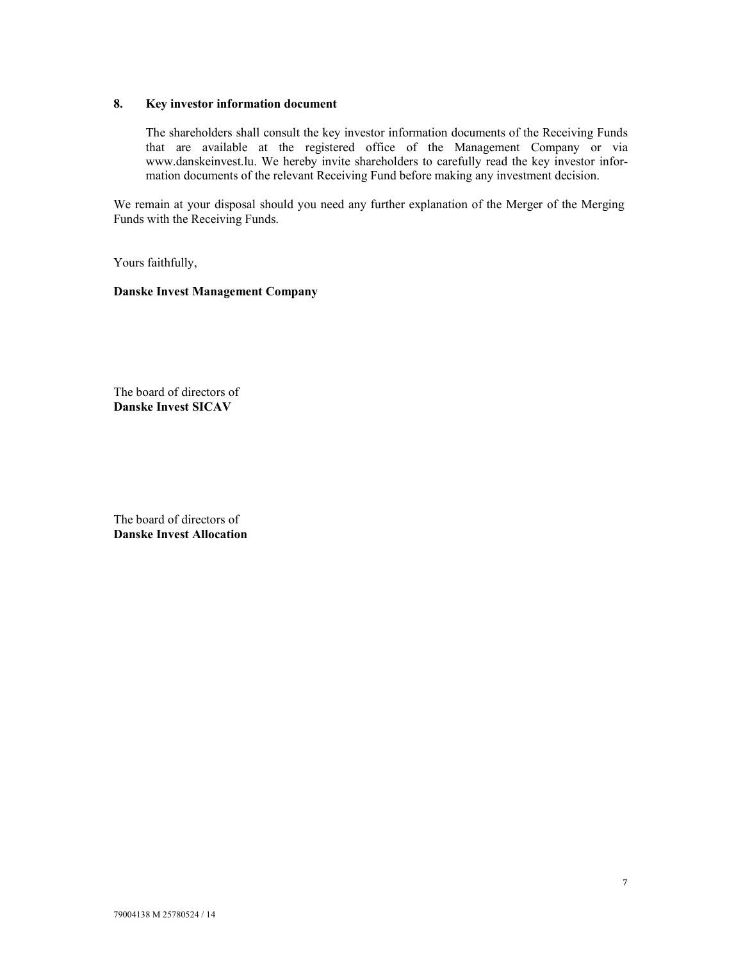### 8. Key investor information document

The shareholders shall consult the key investor information documents of the Receiving Funds that are available at the registered office of the Management Company or via www.danskeinvest.lu. We hereby invite shareholders to carefully read the key investor information documents of the relevant Receiving Fund before making any investment decision.

We remain at your disposal should you need any further explanation of the Merger of the Merging Funds with the Receiving Funds.

Yours faithfully,

### Danske Invest Management Company

The board of directors of Danske Invest SICAV

The board of directors of Danske Invest Allocation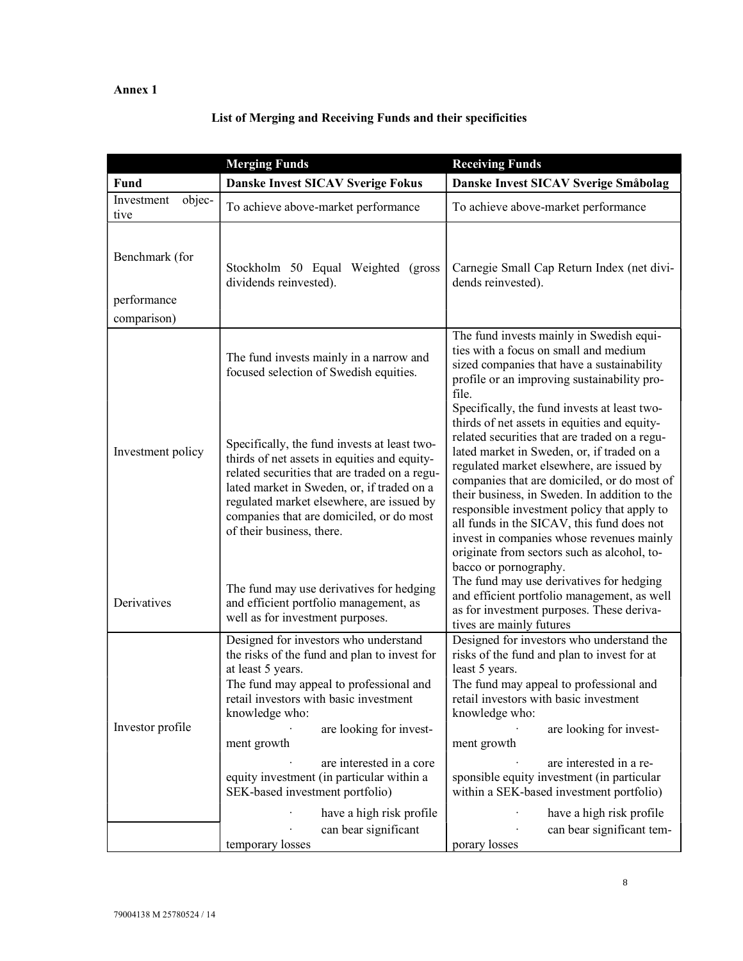## Annex 1

# List of Merging and Receiving Funds and their specificities

|                               | <b>Merging Funds</b>                                                                                                                                                                                                                                                                                                                                                                                | <b>Receiving Funds</b>                                                                                                                                                                                                                                                                                                                                                                                                                                                                                                            |
|-------------------------------|-----------------------------------------------------------------------------------------------------------------------------------------------------------------------------------------------------------------------------------------------------------------------------------------------------------------------------------------------------------------------------------------------------|-----------------------------------------------------------------------------------------------------------------------------------------------------------------------------------------------------------------------------------------------------------------------------------------------------------------------------------------------------------------------------------------------------------------------------------------------------------------------------------------------------------------------------------|
| <b>Fund</b>                   | <b>Danske Invest SICAV Sverige Fokus</b>                                                                                                                                                                                                                                                                                                                                                            | Danske Invest SICAV Sverige Småbolag                                                                                                                                                                                                                                                                                                                                                                                                                                                                                              |
| objec-<br>Investment<br>tive  | To achieve above-market performance                                                                                                                                                                                                                                                                                                                                                                 | To achieve above-market performance                                                                                                                                                                                                                                                                                                                                                                                                                                                                                               |
| Benchmark (for<br>performance | Stockholm 50 Equal Weighted (gross<br>dividends reinvested).                                                                                                                                                                                                                                                                                                                                        | Carnegie Small Cap Return Index (net divi-<br>dends reinvested).                                                                                                                                                                                                                                                                                                                                                                                                                                                                  |
| comparison)                   |                                                                                                                                                                                                                                                                                                                                                                                                     |                                                                                                                                                                                                                                                                                                                                                                                                                                                                                                                                   |
|                               | The fund invests mainly in a narrow and<br>focused selection of Swedish equities.                                                                                                                                                                                                                                                                                                                   | The fund invests mainly in Swedish equi-<br>ties with a focus on small and medium<br>sized companies that have a sustainability<br>profile or an improving sustainability pro-<br>file.                                                                                                                                                                                                                                                                                                                                           |
| Investment policy             | Specifically, the fund invests at least two-<br>thirds of net assets in equities and equity-<br>related securities that are traded on a regu-<br>lated market in Sweden, or, if traded on a<br>regulated market elsewhere, are issued by<br>companies that are domiciled, or do most<br>of their business, there.                                                                                   | Specifically, the fund invests at least two-<br>thirds of net assets in equities and equity-<br>related securities that are traded on a regu-<br>lated market in Sweden, or, if traded on a<br>regulated market elsewhere, are issued by<br>companies that are domiciled, or do most of<br>their business, in Sweden. In addition to the<br>responsible investment policy that apply to<br>all funds in the SICAV, this fund does not<br>invest in companies whose revenues mainly<br>originate from sectors such as alcohol, to- |
| Derivatives                   | The fund may use derivatives for hedging<br>and efficient portfolio management, as<br>well as for investment purposes.                                                                                                                                                                                                                                                                              | bacco or pornography.<br>The fund may use derivatives for hedging<br>and efficient portfolio management, as well<br>as for investment purposes. These deriva-<br>tives are mainly futures                                                                                                                                                                                                                                                                                                                                         |
| Investor profile              | Designed for investors who understand<br>the risks of the fund and plan to invest for<br>at least 5 years.<br>The fund may appeal to professional and<br>retail investors with basic investment<br>knowledge who:<br>are looking for invest-<br>ment growth<br>are interested in a core<br>equity investment (in particular within a<br>SEK-based investment portfolio)<br>have a high risk profile | Designed for investors who understand the<br>risks of the fund and plan to invest for at<br>least 5 years.<br>The fund may appeal to professional and<br>retail investors with basic investment<br>knowledge who:<br>are looking for invest-<br>ment growth<br>are interested in a re-<br>sponsible equity investment (in particular<br>within a SEK-based investment portfolio)<br>have a high risk profile                                                                                                                      |
|                               | can bear significant<br>temporary losses                                                                                                                                                                                                                                                                                                                                                            | can bear significant tem-<br>porary losses                                                                                                                                                                                                                                                                                                                                                                                                                                                                                        |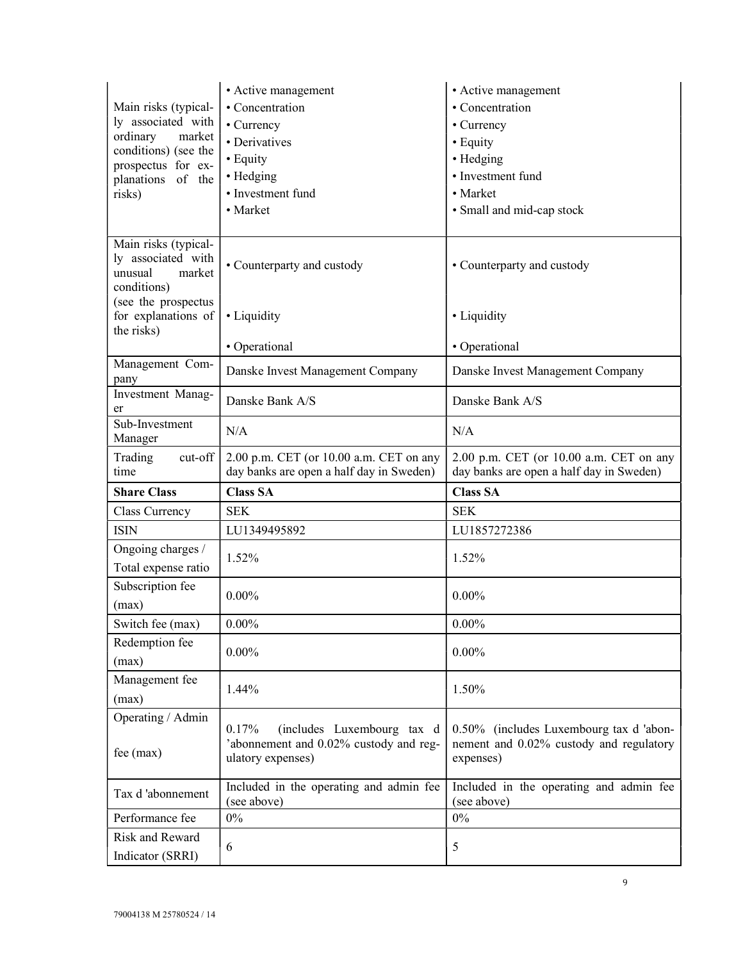|                                                                 | • Active management                                                                                | • Active management                                                                             |
|-----------------------------------------------------------------|----------------------------------------------------------------------------------------------------|-------------------------------------------------------------------------------------------------|
| Main risks (typical-                                            | • Concentration                                                                                    | • Concentration                                                                                 |
| ly associated with                                              | • Currency                                                                                         | • Currency                                                                                      |
| ordinary<br>market                                              | • Derivatives                                                                                      | • Equity                                                                                        |
| conditions) (see the                                            | • Equity                                                                                           | • Hedging                                                                                       |
| prospectus for ex-<br>planations of the                         | • Hedging                                                                                          | • Investment fund                                                                               |
| risks)                                                          | • Investment fund                                                                                  | • Market                                                                                        |
|                                                                 | • Market                                                                                           | • Small and mid-cap stock                                                                       |
|                                                                 |                                                                                                    |                                                                                                 |
| Main risks (typical-<br>ly associated with<br>market<br>unusual | • Counterparty and custody                                                                         | • Counterparty and custody                                                                      |
| conditions)<br>(see the prospectus                              |                                                                                                    |                                                                                                 |
| for explanations of<br>the risks)                               | · Liquidity                                                                                        | • Liquidity                                                                                     |
|                                                                 | • Operational                                                                                      | • Operational                                                                                   |
| Management Com-<br>pany                                         | Danske Invest Management Company                                                                   | Danske Invest Management Company                                                                |
| Investment Manag-<br>er                                         | Danske Bank A/S                                                                                    | Danske Bank A/S                                                                                 |
| Sub-Investment<br>Manager                                       | N/A                                                                                                | N/A                                                                                             |
| Trading<br>cut-off                                              | 2.00 p.m. CET (or 10.00 a.m. CET on any<br>day banks are open a half day in Sweden)                | 2.00 p.m. CET (or 10.00 a.m. CET on any                                                         |
| time                                                            |                                                                                                    | day banks are open a half day in Sweden)                                                        |
| <b>Share Class</b>                                              | <b>Class SA</b>                                                                                    | <b>Class SA</b>                                                                                 |
| Class Currency                                                  | <b>SEK</b>                                                                                         | <b>SEK</b>                                                                                      |
| <b>ISIN</b>                                                     | LU1349495892                                                                                       | LU1857272386                                                                                    |
| Ongoing charges /<br>Total expense ratio                        | 1.52%                                                                                              | 1.52%                                                                                           |
| Subscription fee                                                |                                                                                                    |                                                                                                 |
| (max)                                                           | $0.00\%$                                                                                           | $0.00\%$                                                                                        |
| Switch fee (max)                                                | $0.00\%$                                                                                           | $0.00\%$                                                                                        |
| Redemption fee<br>(max)                                         | $0.00\%$                                                                                           | $0.00\%$                                                                                        |
| Management fee                                                  | 1.44%                                                                                              | 1.50%                                                                                           |
| (max)                                                           |                                                                                                    |                                                                                                 |
| Operating / Admin<br>$fee$ (max)                                | 0.17%<br>(includes Luxembourg tax d<br>'abonnement and 0.02% custody and reg-<br>ulatory expenses) | 0.50% (includes Luxembourg tax d 'abon-<br>nement and 0.02% custody and regulatory<br>expenses) |
| Tax d'abonnement                                                | Included in the operating and admin fee<br>(see above)                                             | Included in the operating and admin fee<br>(see above)                                          |
| Performance fee                                                 | $0\%$                                                                                              | $0\%$                                                                                           |
| Risk and Reward                                                 | 6                                                                                                  | 5                                                                                               |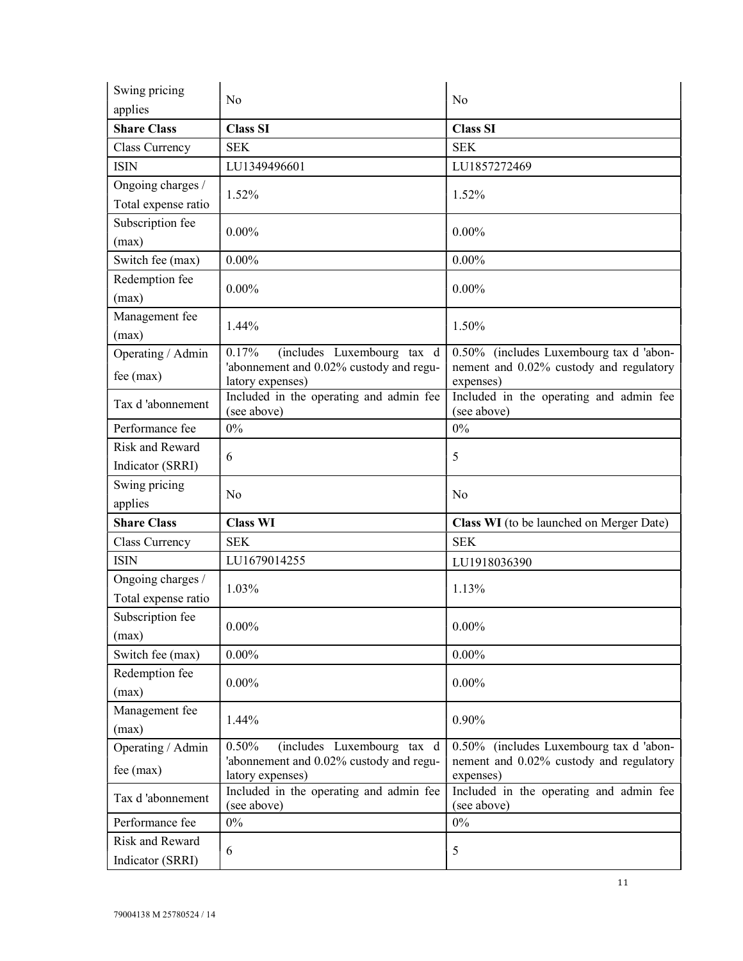| Swing pricing<br>applies                 | N <sub>o</sub>                                                                 | No                                                                                 |
|------------------------------------------|--------------------------------------------------------------------------------|------------------------------------------------------------------------------------|
| <b>Share Class</b>                       | <b>Class SI</b>                                                                | <b>Class SI</b>                                                                    |
| Class Currency                           | <b>SEK</b>                                                                     | <b>SEK</b>                                                                         |
| <b>ISIN</b>                              | LU1349496601                                                                   | LU1857272469                                                                       |
| Ongoing charges /<br>Total expense ratio | 1.52%                                                                          | 1.52%                                                                              |
| Subscription fee<br>(max)                | $0.00\%$                                                                       | $0.00\%$                                                                           |
| Switch fee (max)                         | $0.00\%$                                                                       | $0.00\%$                                                                           |
| Redemption fee<br>(max)                  | $0.00\%$                                                                       | $0.00\%$                                                                           |
| Management fee<br>(max)                  | 1.44%                                                                          | 1.50%                                                                              |
| Operating / Admin<br>fee (max)           | 0.17%<br>(includes Luxembourg tax d<br>'abonnement and 0.02% custody and regu- | 0.50% (includes Luxembourg tax d 'abon-<br>nement and 0.02% custody and regulatory |
| Tax d'abonnement                         | latory expenses)<br>Included in the operating and admin fee<br>(see above)     | expenses)<br>Included in the operating and admin fee<br>(see above)                |
| Performance fee                          | $0\%$                                                                          | 0%                                                                                 |
| Risk and Reward<br>Indicator (SRRI)      | 6                                                                              | 5                                                                                  |
|                                          |                                                                                |                                                                                    |
| Swing pricing<br>applies                 | No                                                                             | No                                                                                 |
| <b>Share Class</b>                       | <b>Class WI</b>                                                                | Class WI (to be launched on Merger Date)                                           |
| Class Currency                           | <b>SEK</b>                                                                     | <b>SEK</b>                                                                         |
| <b>ISIN</b>                              | LU1679014255                                                                   | LU1918036390                                                                       |
| Ongoing charges /<br>Total expense ratio | 1.03%                                                                          | 1.13%                                                                              |
| Subscription fee<br>(max)                | $0.00\%$                                                                       | $0.00\%$                                                                           |
| Switch fee (max)                         | $0.00\%$                                                                       | $0.00\%$                                                                           |
| Redemption fee<br>(max)                  | $0.00\%$                                                                       | $0.00\%$                                                                           |
| Management fee<br>(max)                  | 1.44%                                                                          | 0.90%                                                                              |
| Operating / Admin<br>$fee$ (max)         | 0.50%<br>(includes Luxembourg tax d<br>'abonnement and 0.02% custody and regu- | 0.50% (includes Luxembourg tax d 'abon-<br>nement and 0.02% custody and regulatory |
| Tax d'abonnement                         | latory expenses)<br>Included in the operating and admin fee<br>(see above)     | expenses)<br>Included in the operating and admin fee<br>(see above)                |
| Performance fee                          | $0\%$                                                                          | $0\%$                                                                              |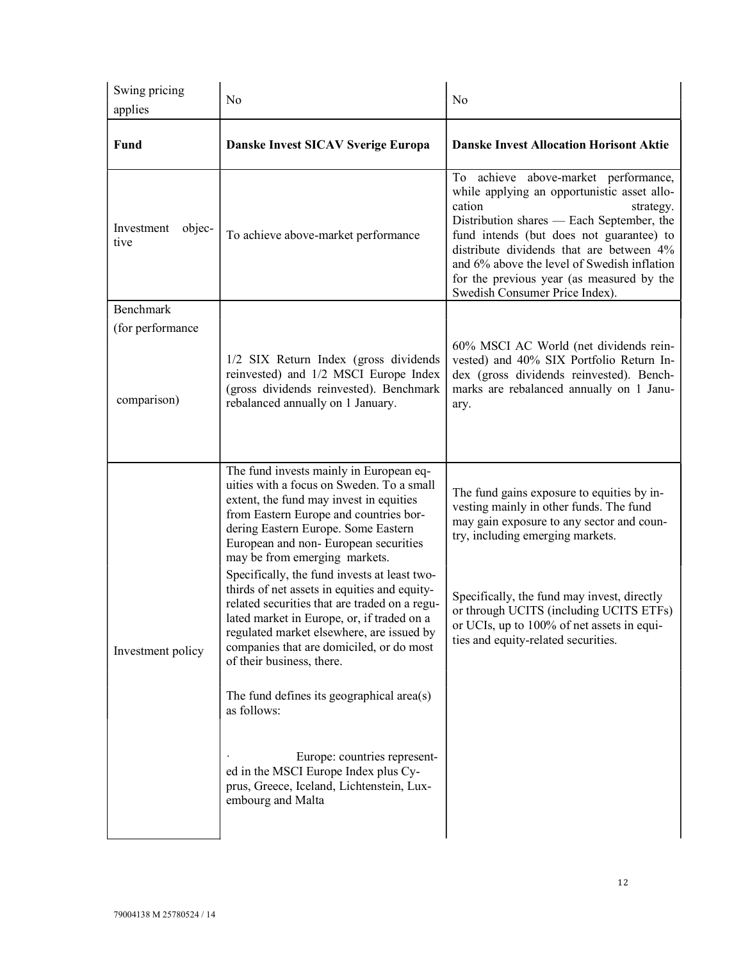| Swing pricing<br>applies        | No                                                                                                                                                                                                                                                                                                                                                                                                                                                                                                                                                                                                                                                                                                                                                                                                                   | No                                                                                                                                                                                                                                                                                                                                                                            |
|---------------------------------|----------------------------------------------------------------------------------------------------------------------------------------------------------------------------------------------------------------------------------------------------------------------------------------------------------------------------------------------------------------------------------------------------------------------------------------------------------------------------------------------------------------------------------------------------------------------------------------------------------------------------------------------------------------------------------------------------------------------------------------------------------------------------------------------------------------------|-------------------------------------------------------------------------------------------------------------------------------------------------------------------------------------------------------------------------------------------------------------------------------------------------------------------------------------------------------------------------------|
| <b>Fund</b>                     | Danske Invest SICAV Sverige Europa                                                                                                                                                                                                                                                                                                                                                                                                                                                                                                                                                                                                                                                                                                                                                                                   | <b>Danske Invest Allocation Horisont Aktie</b>                                                                                                                                                                                                                                                                                                                                |
| objec-<br>Investment<br>tive    | To achieve above-market performance                                                                                                                                                                                                                                                                                                                                                                                                                                                                                                                                                                                                                                                                                                                                                                                  | To achieve above-market performance,<br>while applying an opportunistic asset allo-<br>cation<br>strategy.<br>Distribution shares — Each September, the<br>fund intends (but does not guarantee) to<br>distribute dividends that are between 4%<br>and 6% above the level of Swedish inflation<br>for the previous year (as measured by the<br>Swedish Consumer Price Index). |
| Benchmark                       |                                                                                                                                                                                                                                                                                                                                                                                                                                                                                                                                                                                                                                                                                                                                                                                                                      |                                                                                                                                                                                                                                                                                                                                                                               |
| (for performance<br>comparison) | 1/2 SIX Return Index (gross dividends<br>reinvested) and 1/2 MSCI Europe Index<br>(gross dividends reinvested). Benchmark<br>rebalanced annually on 1 January.                                                                                                                                                                                                                                                                                                                                                                                                                                                                                                                                                                                                                                                       | 60% MSCI AC World (net dividends rein-<br>vested) and 40% SIX Portfolio Return In-<br>dex (gross dividends reinvested). Bench-<br>marks are rebalanced annually on 1 Janu-<br>ary.                                                                                                                                                                                            |
| Investment policy               | The fund invests mainly in European eq-<br>uities with a focus on Sweden. To a small<br>extent, the fund may invest in equities<br>from Eastern Europe and countries bor-<br>dering Eastern Europe. Some Eastern<br>European and non-European securities<br>may be from emerging markets.<br>Specifically, the fund invests at least two-<br>thirds of net assets in equities and equity-<br>related securities that are traded on a regu-<br>lated market in Europe, or, if traded on a<br>regulated market elsewhere, are issued by<br>companies that are domiciled, or do most<br>of their business, there.<br>The fund defines its geographical area(s)<br>as follows:<br>Europe: countries represent-<br>ed in the MSCI Europe Index plus Cy-<br>prus, Greece, Iceland, Lichtenstein, Lux-<br>embourg and Malta | The fund gains exposure to equities by in-<br>vesting mainly in other funds. The fund<br>may gain exposure to any sector and coun-<br>try, including emerging markets.<br>Specifically, the fund may invest, directly<br>or through UCITS (including UCITS ETFs)<br>or UCIs, up to 100% of net assets in equi-<br>ties and equity-related securities.                         |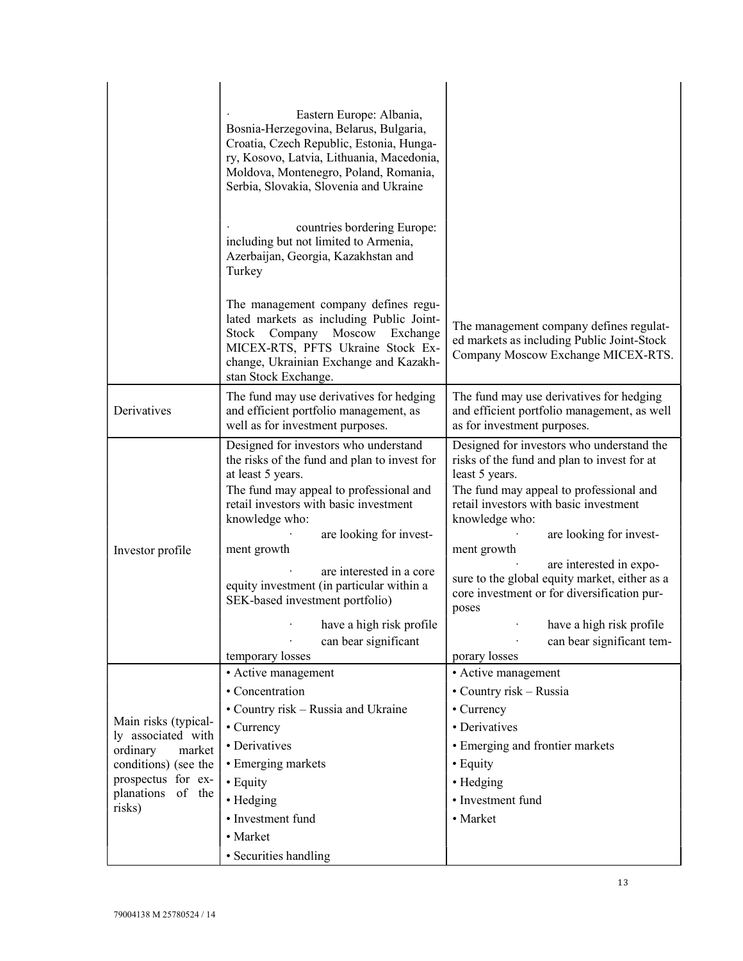|                                                                  | Eastern Europe: Albania,<br>Bosnia-Herzegovina, Belarus, Bulgaria,<br>Croatia, Czech Republic, Estonia, Hunga-<br>ry, Kosovo, Latvia, Lithuania, Macedonia,<br>Moldova, Montenegro, Poland, Romania,<br>Serbia, Slovakia, Slovenia and Ukraine<br>countries bordering Europe:<br>including but not limited to Armenia,<br>Azerbaijan, Georgia, Kazakhstan and<br>Turkey |                                                                                                                                                                                                                                                                                                                                                                                        |
|------------------------------------------------------------------|-------------------------------------------------------------------------------------------------------------------------------------------------------------------------------------------------------------------------------------------------------------------------------------------------------------------------------------------------------------------------|----------------------------------------------------------------------------------------------------------------------------------------------------------------------------------------------------------------------------------------------------------------------------------------------------------------------------------------------------------------------------------------|
|                                                                  | The management company defines regu-<br>lated markets as including Public Joint-<br>Stock Company Moscow<br>Exchange<br>MICEX-RTS, PFTS Ukraine Stock Ex-<br>change, Ukrainian Exchange and Kazakh-<br>stan Stock Exchange.                                                                                                                                             | The management company defines regulat-<br>ed markets as including Public Joint-Stock<br>Company Moscow Exchange MICEX-RTS.                                                                                                                                                                                                                                                            |
| Derivatives                                                      | The fund may use derivatives for hedging<br>and efficient portfolio management, as<br>well as for investment purposes.                                                                                                                                                                                                                                                  | The fund may use derivatives for hedging<br>and efficient portfolio management, as well<br>as for investment purposes.                                                                                                                                                                                                                                                                 |
| Investor profile                                                 | Designed for investors who understand<br>the risks of the fund and plan to invest for<br>at least 5 years.<br>The fund may appeal to professional and<br>retail investors with basic investment<br>knowledge who:<br>are looking for invest-<br>ment growth<br>are interested in a core<br>equity investment (in particular within a                                    | Designed for investors who understand the<br>risks of the fund and plan to invest for at<br>least 5 years.<br>The fund may appeal to professional and<br>retail investors with basic investment<br>knowledge who:<br>are looking for invest-<br>ment growth<br>are interested in expo-<br>sure to the global equity market, either as a<br>core investment or for diversification pur- |
|                                                                  | SEK-based investment portfolio)<br>have a high risk profile<br>can bear significant<br>temporary losses                                                                                                                                                                                                                                                                 | poses<br>have a high risk profile<br>can bear significant tem-<br>porary losses                                                                                                                                                                                                                                                                                                        |
|                                                                  | • Active management                                                                                                                                                                                                                                                                                                                                                     | • Active management                                                                                                                                                                                                                                                                                                                                                                    |
|                                                                  | • Concentration                                                                                                                                                                                                                                                                                                                                                         | • Country risk – Russia                                                                                                                                                                                                                                                                                                                                                                |
|                                                                  | • Country risk – Russia and Ukraine                                                                                                                                                                                                                                                                                                                                     | • Currency                                                                                                                                                                                                                                                                                                                                                                             |
| Main risks (typical-<br>ly associated with<br>ordinary<br>market | • Currency                                                                                                                                                                                                                                                                                                                                                              | • Derivatives                                                                                                                                                                                                                                                                                                                                                                          |
|                                                                  | • Derivatives                                                                                                                                                                                                                                                                                                                                                           | • Emerging and frontier markets                                                                                                                                                                                                                                                                                                                                                        |
| conditions) (see the                                             | • Emerging markets                                                                                                                                                                                                                                                                                                                                                      | • Equity                                                                                                                                                                                                                                                                                                                                                                               |
| prospectus for ex-<br>planations of the                          | • Equity                                                                                                                                                                                                                                                                                                                                                                | • Hedging                                                                                                                                                                                                                                                                                                                                                                              |
| risks)                                                           | • Hedging                                                                                                                                                                                                                                                                                                                                                               | • Investment fund                                                                                                                                                                                                                                                                                                                                                                      |
|                                                                  | · Investment fund                                                                                                                                                                                                                                                                                                                                                       | • Market                                                                                                                                                                                                                                                                                                                                                                               |
|                                                                  | • Market                                                                                                                                                                                                                                                                                                                                                                |                                                                                                                                                                                                                                                                                                                                                                                        |
|                                                                  | · Securities handling                                                                                                                                                                                                                                                                                                                                                   |                                                                                                                                                                                                                                                                                                                                                                                        |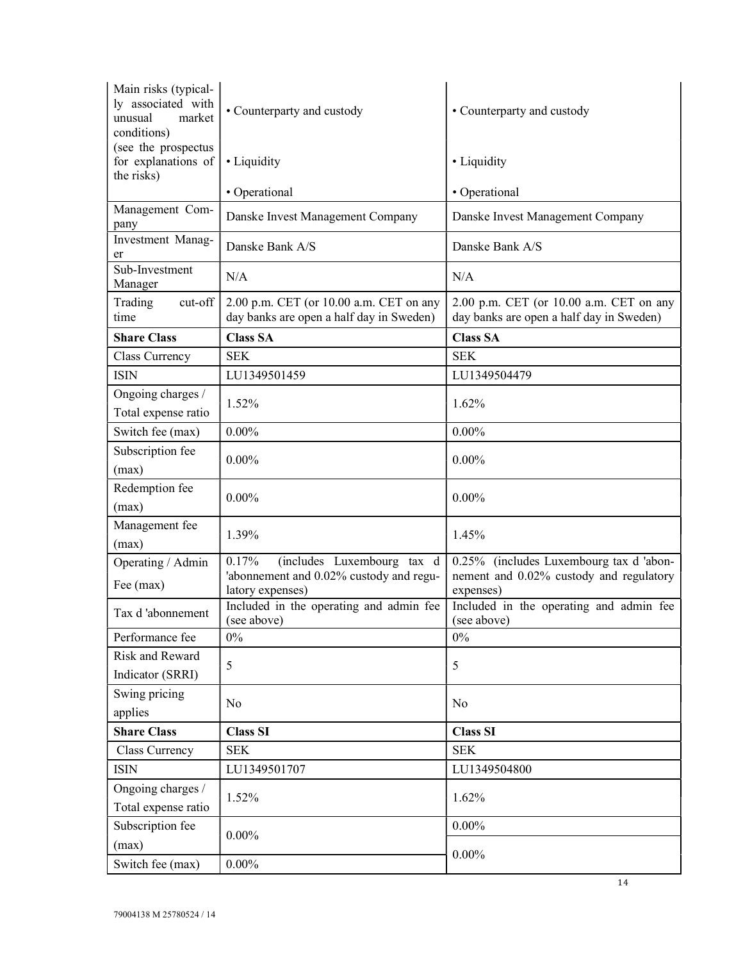| Main risks (typical-<br>ly associated with<br>unusual<br>market<br>conditions) | • Counterparty and custody                                                                         | • Counterparty and custody                                                                      |
|--------------------------------------------------------------------------------|----------------------------------------------------------------------------------------------------|-------------------------------------------------------------------------------------------------|
| (see the prospectus<br>for explanations of<br>the risks)                       | • Liquidity                                                                                        | • Liquidity                                                                                     |
|                                                                                | • Operational                                                                                      | • Operational                                                                                   |
| Management Com-                                                                | Danske Invest Management Company                                                                   | Danske Invest Management Company                                                                |
| pany<br>Investment Manag-                                                      |                                                                                                    |                                                                                                 |
| er                                                                             | Danske Bank A/S                                                                                    | Danske Bank A/S                                                                                 |
| Sub-Investment<br>Manager                                                      | N/A                                                                                                | N/A                                                                                             |
| cut-off<br>Trading<br>time                                                     | 2.00 p.m. CET (or 10.00 a.m. CET on any<br>day banks are open a half day in Sweden)                | 2.00 p.m. CET (or 10.00 a.m. CET on any<br>day banks are open a half day in Sweden)             |
| <b>Share Class</b>                                                             | <b>Class SA</b>                                                                                    | <b>Class SA</b>                                                                                 |
| Class Currency                                                                 | <b>SEK</b>                                                                                         | <b>SEK</b>                                                                                      |
| <b>ISIN</b>                                                                    | LU1349501459                                                                                       | LU1349504479                                                                                    |
| Ongoing charges /<br>Total expense ratio                                       | 1.52%                                                                                              | 1.62%                                                                                           |
| Switch fee (max)                                                               | $0.00\%$                                                                                           | $0.00\%$                                                                                        |
| Subscription fee<br>(max)                                                      | $0.00\%$                                                                                           | $0.00\%$                                                                                        |
| Redemption fee<br>(max)                                                        | $0.00\%$                                                                                           | $0.00\%$                                                                                        |
| Management fee<br>(max)                                                        | 1.39%                                                                                              | 1.45%                                                                                           |
| Operating / Admin<br>Fee (max)                                                 | 0.17%<br>(includes Luxembourg tax d<br>'abonnement and 0.02% custody and regu-<br>latory expenses) | 0.25% (includes Luxembourg tax d 'abon-<br>nement and 0.02% custody and regulatory<br>expenses) |
| Tax d'abonnement                                                               | Included in the operating and admin fee<br>(see above)                                             | Included in the operating and admin fee<br>(see above)                                          |
| Performance fee                                                                | 0%                                                                                                 | $0\%$                                                                                           |
| <b>Risk and Reward</b>                                                         | 5                                                                                                  | 5                                                                                               |
| Indicator (SRRI)                                                               |                                                                                                    |                                                                                                 |
| Swing pricing                                                                  | No                                                                                                 | N <sub>o</sub>                                                                                  |
| applies                                                                        |                                                                                                    |                                                                                                 |
| <b>Share Class</b>                                                             | <b>Class SI</b>                                                                                    | <b>Class SI</b>                                                                                 |
| Class Currency                                                                 | <b>SEK</b>                                                                                         | <b>SEK</b>                                                                                      |
| <b>ISIN</b>                                                                    | LU1349501707                                                                                       | LU1349504800                                                                                    |
| Ongoing charges /<br>Total expense ratio                                       | 1.52%                                                                                              | 1.62%                                                                                           |
| Subscription fee<br>(max)                                                      | $0.00\%$                                                                                           | $0.00\%$                                                                                        |
| Switch fee (max)                                                               | $0.00\%$                                                                                           | $0.00\%$                                                                                        |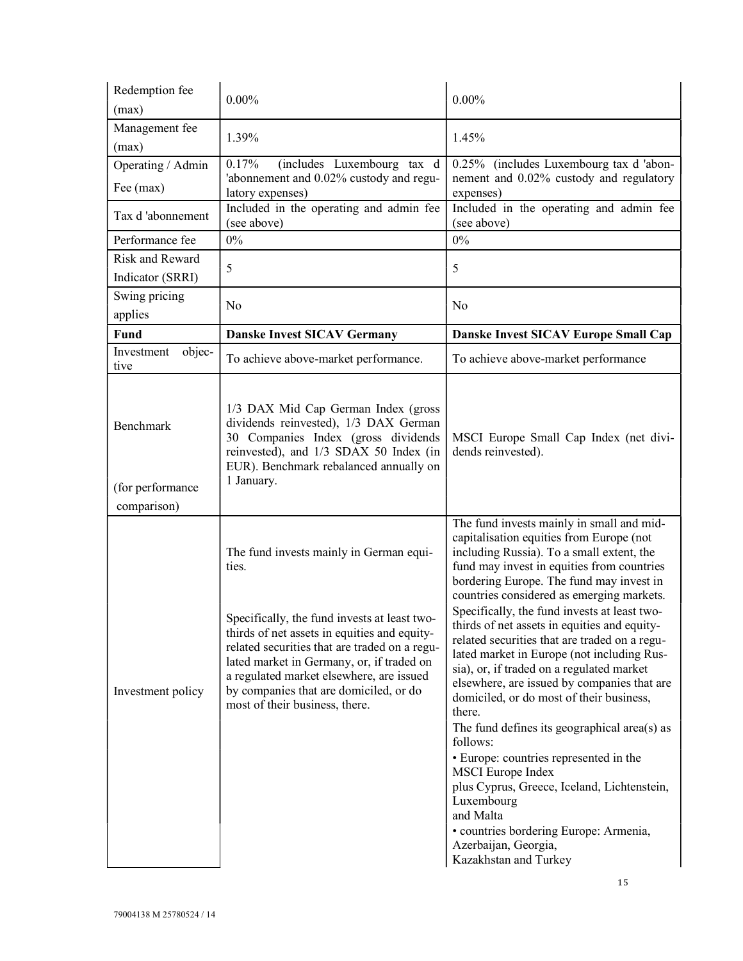| Redemption fee<br>(max)        | $0.00\%$                                                                                                                                                                                                                                                                                                                                                               | $0.00\%$                                                                                                                                                                                                                                                                                                                                                                                                                                                                                                                                                                                                                                                                                                                                                                                                                                                                                                                          |
|--------------------------------|------------------------------------------------------------------------------------------------------------------------------------------------------------------------------------------------------------------------------------------------------------------------------------------------------------------------------------------------------------------------|-----------------------------------------------------------------------------------------------------------------------------------------------------------------------------------------------------------------------------------------------------------------------------------------------------------------------------------------------------------------------------------------------------------------------------------------------------------------------------------------------------------------------------------------------------------------------------------------------------------------------------------------------------------------------------------------------------------------------------------------------------------------------------------------------------------------------------------------------------------------------------------------------------------------------------------|
| Management fee<br>(max)        | 1.39%                                                                                                                                                                                                                                                                                                                                                                  | 1.45%                                                                                                                                                                                                                                                                                                                                                                                                                                                                                                                                                                                                                                                                                                                                                                                                                                                                                                                             |
| Operating / Admin<br>Fee (max) | 0.17%<br>(includes Luxembourg tax d<br>'abonnement and 0.02% custody and regu-<br>latory expenses)                                                                                                                                                                                                                                                                     | 0.25% (includes Luxembourg tax d 'abon-<br>nement and 0.02% custody and regulatory<br>expenses)                                                                                                                                                                                                                                                                                                                                                                                                                                                                                                                                                                                                                                                                                                                                                                                                                                   |
| Tax d'abonnement               | Included in the operating and admin fee<br>(see above)                                                                                                                                                                                                                                                                                                                 | Included in the operating and admin fee<br>(see above)                                                                                                                                                                                                                                                                                                                                                                                                                                                                                                                                                                                                                                                                                                                                                                                                                                                                            |
| Performance fee                | $0\%$                                                                                                                                                                                                                                                                                                                                                                  | $0\%$                                                                                                                                                                                                                                                                                                                                                                                                                                                                                                                                                                                                                                                                                                                                                                                                                                                                                                                             |
| Risk and Reward                | 5                                                                                                                                                                                                                                                                                                                                                                      | 5                                                                                                                                                                                                                                                                                                                                                                                                                                                                                                                                                                                                                                                                                                                                                                                                                                                                                                                                 |
| Indicator (SRRI)               |                                                                                                                                                                                                                                                                                                                                                                        |                                                                                                                                                                                                                                                                                                                                                                                                                                                                                                                                                                                                                                                                                                                                                                                                                                                                                                                                   |
| Swing pricing<br>applies       | No                                                                                                                                                                                                                                                                                                                                                                     | No                                                                                                                                                                                                                                                                                                                                                                                                                                                                                                                                                                                                                                                                                                                                                                                                                                                                                                                                |
| <b>Fund</b>                    | <b>Danske Invest SICAV Germany</b>                                                                                                                                                                                                                                                                                                                                     | Danske Invest SICAV Europe Small Cap                                                                                                                                                                                                                                                                                                                                                                                                                                                                                                                                                                                                                                                                                                                                                                                                                                                                                              |
| objec-<br>Investment<br>tive   | To achieve above-market performance.                                                                                                                                                                                                                                                                                                                                   | To achieve above-market performance                                                                                                                                                                                                                                                                                                                                                                                                                                                                                                                                                                                                                                                                                                                                                                                                                                                                                               |
| Benchmark                      | 1/3 DAX Mid Cap German Index (gross<br>dividends reinvested), 1/3 DAX German<br>30 Companies Index (gross dividends<br>reinvested), and 1/3 SDAX 50 Index (in<br>EUR). Benchmark rebalanced annually on<br>1 January.                                                                                                                                                  | MSCI Europe Small Cap Index (net divi-<br>dends reinvested).                                                                                                                                                                                                                                                                                                                                                                                                                                                                                                                                                                                                                                                                                                                                                                                                                                                                      |
| (for performance               |                                                                                                                                                                                                                                                                                                                                                                        |                                                                                                                                                                                                                                                                                                                                                                                                                                                                                                                                                                                                                                                                                                                                                                                                                                                                                                                                   |
| comparison)                    |                                                                                                                                                                                                                                                                                                                                                                        |                                                                                                                                                                                                                                                                                                                                                                                                                                                                                                                                                                                                                                                                                                                                                                                                                                                                                                                                   |
| Investment policy              | The fund invests mainly in German equi-<br>ties.<br>Specifically, the fund invests at least two-<br>thirds of net assets in equities and equity-<br>related securities that are traded on a regu-<br>lated market in Germany, or, if traded on<br>a regulated market elsewhere, are issued<br>by companies that are domiciled, or do<br>most of their business, there. | The fund invests mainly in small and mid-<br>capitalisation equities from Europe (not<br>including Russia). To a small extent, the<br>fund may invest in equities from countries<br>bordering Europe. The fund may invest in<br>countries considered as emerging markets.<br>Specifically, the fund invests at least two-<br>thirds of net assets in equities and equity-<br>related securities that are traded on a regu-<br>lated market in Europe (not including Rus-<br>sia), or, if traded on a regulated market<br>elsewhere, are issued by companies that are<br>domiciled, or do most of their business,<br>there.<br>The fund defines its geographical area(s) as<br>follows:<br>• Europe: countries represented in the<br><b>MSCI</b> Europe Index<br>plus Cyprus, Greece, Iceland, Lichtenstein,<br>Luxembourg<br>and Malta<br>· countries bordering Europe: Armenia,<br>Azerbaijan, Georgia,<br>Kazakhstan and Turkey |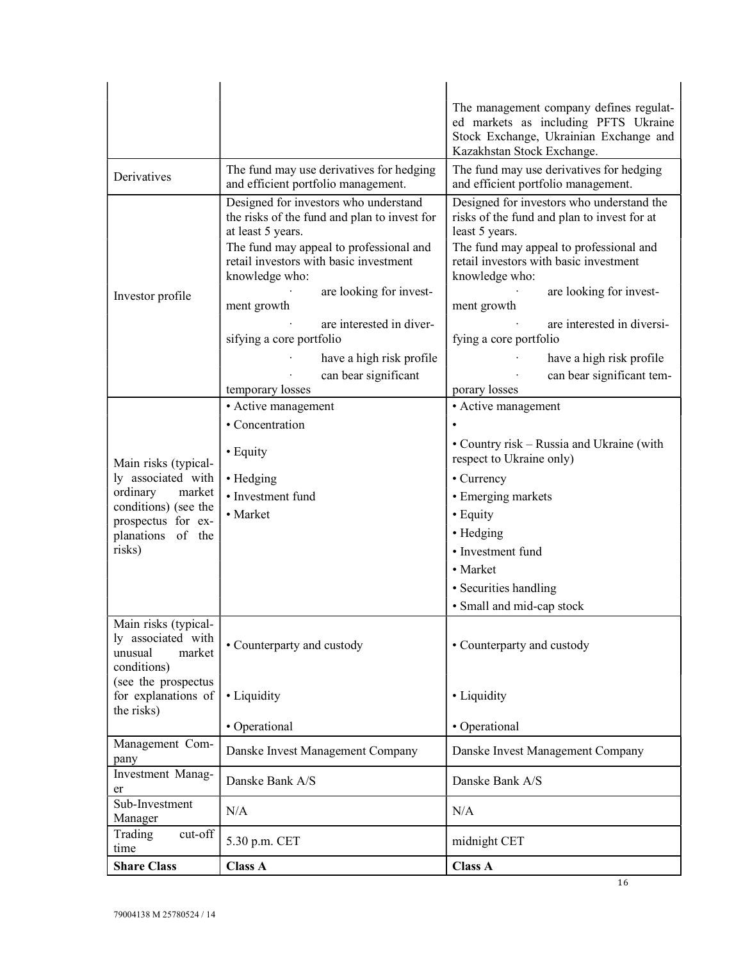|                                                                                                       |                                                                                                                                                                                                                                                             | The management company defines regulat-<br>ed markets as including PFTS Ukraine<br>Stock Exchange, Ukrainian Exchange and<br>Kazakhstan Stock Exchange.                                                                                                     |
|-------------------------------------------------------------------------------------------------------|-------------------------------------------------------------------------------------------------------------------------------------------------------------------------------------------------------------------------------------------------------------|-------------------------------------------------------------------------------------------------------------------------------------------------------------------------------------------------------------------------------------------------------------|
| Derivatives                                                                                           | The fund may use derivatives for hedging<br>and efficient portfolio management.                                                                                                                                                                             | The fund may use derivatives for hedging<br>and efficient portfolio management.                                                                                                                                                                             |
| Investor profile                                                                                      | Designed for investors who understand<br>the risks of the fund and plan to invest for<br>at least 5 years.<br>The fund may appeal to professional and<br>retail investors with basic investment<br>knowledge who:<br>are looking for invest-<br>ment growth | Designed for investors who understand the<br>risks of the fund and plan to invest for at<br>least 5 years.<br>The fund may appeal to professional and<br>retail investors with basic investment<br>knowledge who:<br>are looking for invest-<br>ment growth |
|                                                                                                       | are interested in diver-<br>sifying a core portfolio                                                                                                                                                                                                        | are interested in diversi-<br>fying a core portfolio                                                                                                                                                                                                        |
|                                                                                                       | have a high risk profile<br>can bear significant                                                                                                                                                                                                            | have a high risk profile<br>can bear significant tem-<br>porary losses                                                                                                                                                                                      |
|                                                                                                       | temporary losses<br>• Active management                                                                                                                                                                                                                     | • Active management                                                                                                                                                                                                                                         |
|                                                                                                       | • Concentration                                                                                                                                                                                                                                             |                                                                                                                                                                                                                                                             |
| Main risks (typical-                                                                                  | • Equity                                                                                                                                                                                                                                                    | • Country risk – Russia and Ukraine (with<br>respect to Ukraine only)                                                                                                                                                                                       |
| ly associated with                                                                                    | • Hedging                                                                                                                                                                                                                                                   | • Currency                                                                                                                                                                                                                                                  |
| ordinary<br>market                                                                                    | • Investment fund                                                                                                                                                                                                                                           | • Emerging markets                                                                                                                                                                                                                                          |
| conditions) (see the                                                                                  | • Market                                                                                                                                                                                                                                                    | • Equity                                                                                                                                                                                                                                                    |
| prospectus for ex-<br>planations of the                                                               |                                                                                                                                                                                                                                                             | • Hedging                                                                                                                                                                                                                                                   |
| risks)                                                                                                |                                                                                                                                                                                                                                                             | • Investment fund                                                                                                                                                                                                                                           |
|                                                                                                       |                                                                                                                                                                                                                                                             | • Market                                                                                                                                                                                                                                                    |
|                                                                                                       |                                                                                                                                                                                                                                                             | • Securities handling                                                                                                                                                                                                                                       |
|                                                                                                       |                                                                                                                                                                                                                                                             | • Small and mid-cap stock                                                                                                                                                                                                                                   |
| Main risks (typical-<br>ly associated with<br>unusual<br>market<br>conditions)<br>(see the prospectus | • Counterparty and custody                                                                                                                                                                                                                                  | • Counterparty and custody                                                                                                                                                                                                                                  |
| for explanations of<br>the risks)                                                                     | • Liquidity                                                                                                                                                                                                                                                 | • Liquidity                                                                                                                                                                                                                                                 |
|                                                                                                       | • Operational                                                                                                                                                                                                                                               | • Operational                                                                                                                                                                                                                                               |
| Management Com-<br>pany                                                                               | Danske Invest Management Company                                                                                                                                                                                                                            | Danske Invest Management Company                                                                                                                                                                                                                            |
| Investment Manag-<br>er                                                                               | Danske Bank A/S                                                                                                                                                                                                                                             | Danske Bank A/S                                                                                                                                                                                                                                             |
| Sub-Investment<br>Manager                                                                             | N/A                                                                                                                                                                                                                                                         | N/A                                                                                                                                                                                                                                                         |
| cut-off<br>Trading<br>time                                                                            | 5.30 p.m. CET                                                                                                                                                                                                                                               | midnight CET                                                                                                                                                                                                                                                |
| <b>Share Class</b>                                                                                    | <b>Class A</b>                                                                                                                                                                                                                                              | <b>Class A</b>                                                                                                                                                                                                                                              |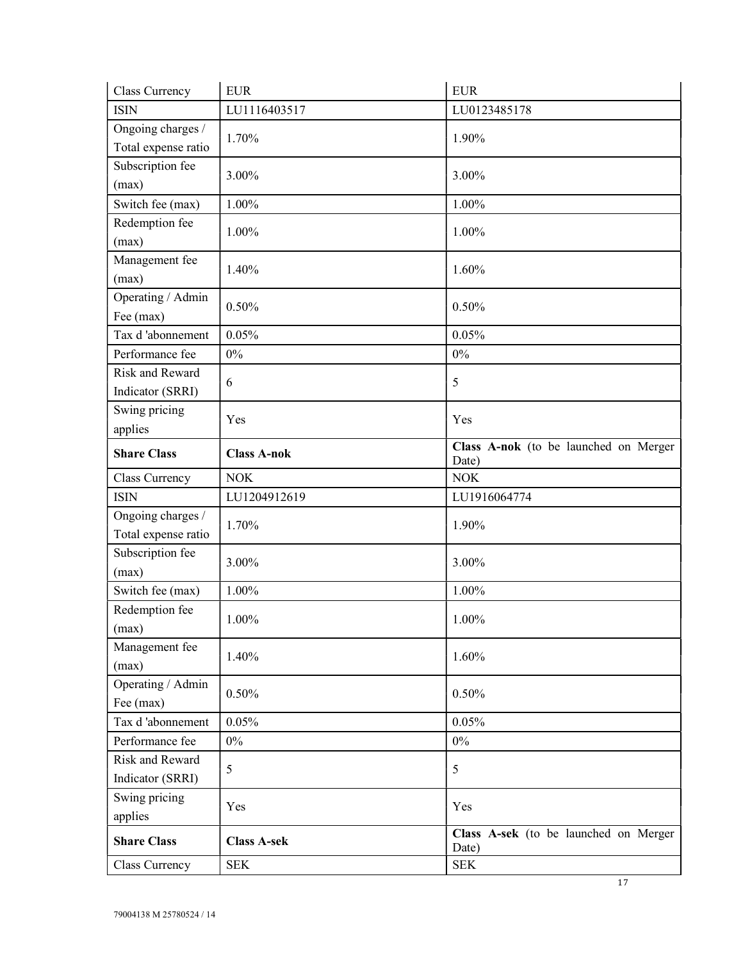| Class Currency      | <b>EUR</b>         | <b>EUR</b>                                     |
|---------------------|--------------------|------------------------------------------------|
| <b>ISIN</b>         | LU1116403517       | LU0123485178                                   |
| Ongoing charges /   | 1.70%              | 1.90%                                          |
| Total expense ratio |                    |                                                |
| Subscription fee    | 3.00%              | 3.00%                                          |
| (max)               |                    |                                                |
| Switch fee (max)    | 1.00%              | 1.00%                                          |
| Redemption fee      | 1.00%              | 1.00%                                          |
| (max)               |                    |                                                |
| Management fee      | 1.40%              | 1.60%                                          |
| (max)               |                    |                                                |
| Operating / Admin   | 0.50%              | 0.50%                                          |
| Fee (max)           |                    |                                                |
| Tax d'abonnement    | 0.05%              | 0.05%                                          |
| Performance fee     | $0\%$              | $0\%$                                          |
| Risk and Reward     | 6                  | 5                                              |
| Indicator (SRRI)    |                    |                                                |
| Swing pricing       | Yes                | Yes                                            |
| applies             |                    |                                                |
| <b>Share Class</b>  | <b>Class A-nok</b> | Class A-nok (to be launched on Merger<br>Date) |
| Class Currency      | <b>NOK</b>         | <b>NOK</b>                                     |
| <b>ISIN</b>         | LU1204912619       | LU1916064774                                   |
| Ongoing charges /   | 1.70%              | 1.90%                                          |
| Total expense ratio |                    |                                                |
| Subscription fee    | 3.00%              | 3.00%                                          |
| (max)               |                    |                                                |
| Switch fee (max)    | 1.00%              | 1.00%                                          |
| Redemption fee      | 1.00%              | 1.00%                                          |
| (max)               |                    |                                                |
| Management fee      | 1.40%              | 1.60%                                          |
| (max)               |                    |                                                |
|                     |                    |                                                |
| Operating / Admin   |                    |                                                |
| Fee (max)           | 0.50%              | 0.50%                                          |
| Tax d'abonnement    | 0.05%              | 0.05%                                          |
| Performance fee     | $0\%$              | $0\%$                                          |
| Risk and Reward     | 5                  | 5                                              |
| Indicator (SRRI)    |                    |                                                |
| Swing pricing       | Yes                | Yes                                            |
| applies             |                    |                                                |
| <b>Share Class</b>  | <b>Class A-sek</b> | Class A-sek (to be launched on Merger<br>Date) |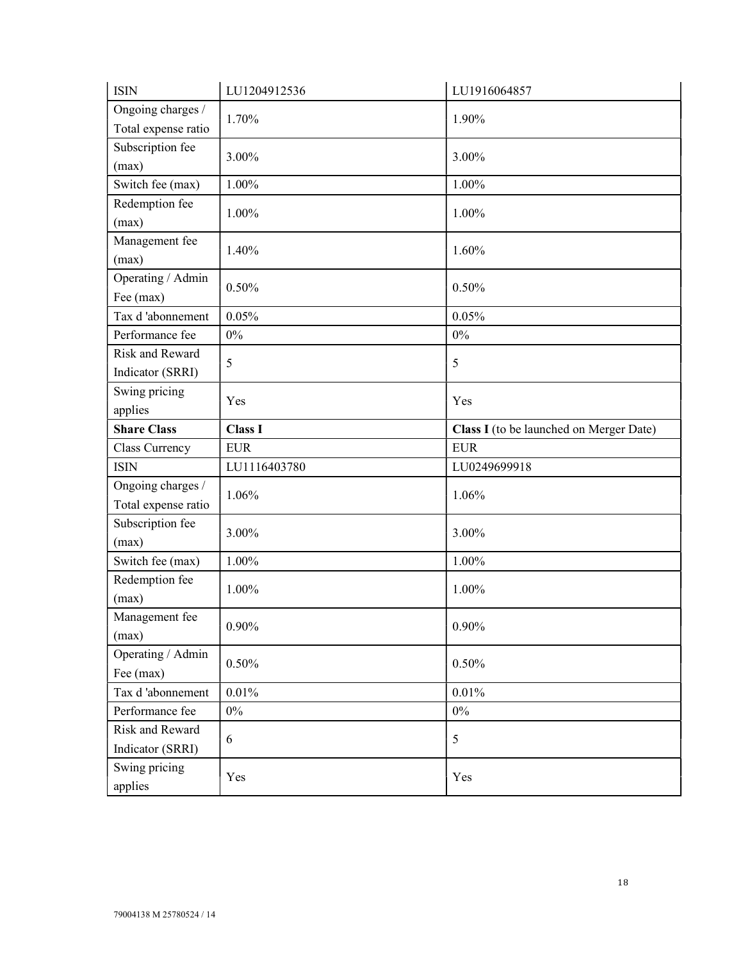| <b>ISIN</b>                        | LU1204912536   | LU1916064857                            |
|------------------------------------|----------------|-----------------------------------------|
| Ongoing charges /                  | 1.70%          | 1.90%                                   |
| Total expense ratio                |                |                                         |
| Subscription fee                   | 3.00%          | 3.00%                                   |
| (max)                              |                |                                         |
| Switch fee (max)                   | 1.00%          | 1.00%                                   |
| Redemption fee                     | 1.00%          | 1.00%                                   |
| (max)                              |                |                                         |
| Management fee                     | 1.40%          | 1.60%                                   |
| (max)                              |                |                                         |
| Operating / Admin                  | 0.50%          | 0.50%                                   |
| Fee (max)                          |                |                                         |
| Tax d'abonnement                   | 0.05%          | 0.05%                                   |
| Performance fee<br>Risk and Reward | $0\%$          | $0\%$                                   |
|                                    | 5              | 5                                       |
| Indicator (SRRI)                   |                |                                         |
| Swing pricing                      | Yes            | Yes                                     |
| applies<br><b>Share Class</b>      |                |                                         |
|                                    | <b>Class I</b> | Class I (to be launched on Merger Date) |
|                                    |                |                                         |
| Class Currency                     | <b>EUR</b>     | <b>EUR</b>                              |
| <b>ISIN</b>                        | LU1116403780   | LU0249699918                            |
| Ongoing charges /                  | 1.06%          | 1.06%                                   |
| Total expense ratio                |                |                                         |
| Subscription fee                   | 3.00%          | 3.00%                                   |
| (max)                              |                |                                         |
| Switch fee (max)                   | 1.00%          | 1.00%                                   |
| Redemption fee                     | 1.00%          | 1.00%                                   |
| (max)                              |                |                                         |
| Management fee                     | $0.90\%$       | $0.90\%$                                |
| (max)                              |                |                                         |
| Operating / Admin                  | 0.50%          | 0.50%                                   |
| Fee (max)                          |                |                                         |
| Tax d'abonnement                   | 0.01%          | 0.01%                                   |
| Performance fee                    | $0\%$          | $0\%$                                   |
| Risk and Reward                    | 6              | 5                                       |
| Indicator (SRRI)                   |                |                                         |
| Swing pricing<br>applies           | Yes            | Yes                                     |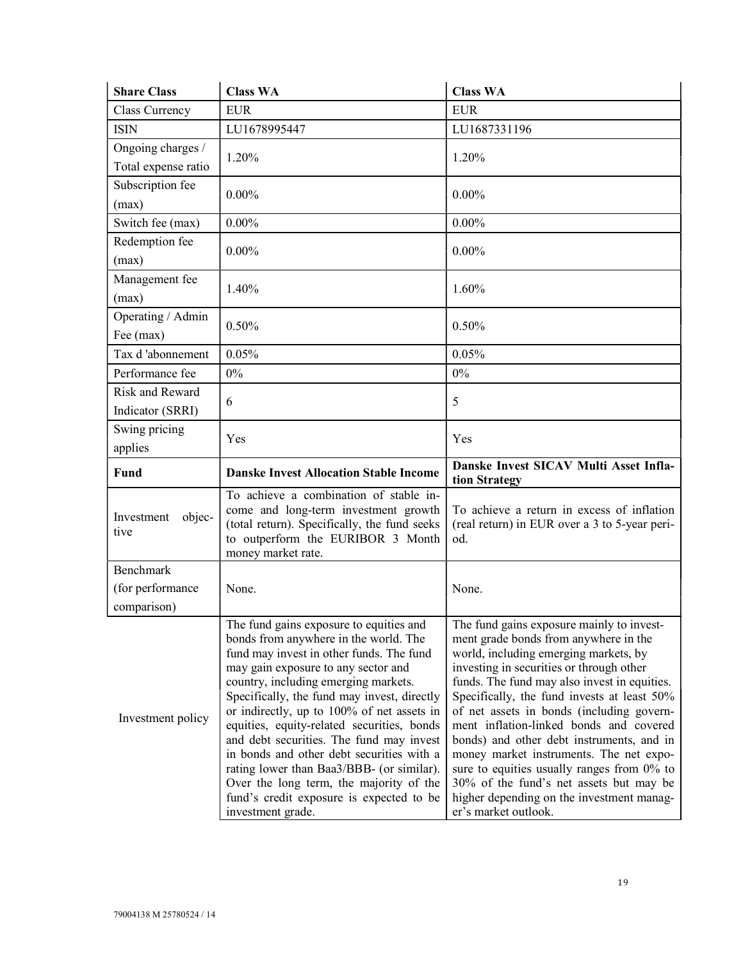| <b>Share Class</b>                       | <b>Class WA</b>                                                                                                                                                                                             | <b>Class WA</b>                                                                                                                                                                                                         |
|------------------------------------------|-------------------------------------------------------------------------------------------------------------------------------------------------------------------------------------------------------------|-------------------------------------------------------------------------------------------------------------------------------------------------------------------------------------------------------------------------|
| Class Currency                           | <b>EUR</b>                                                                                                                                                                                                  | <b>EUR</b>                                                                                                                                                                                                              |
| <b>ISIN</b>                              | LU1678995447                                                                                                                                                                                                | LU1687331196                                                                                                                                                                                                            |
| Ongoing charges /<br>Total expense ratio | 1.20%                                                                                                                                                                                                       | 1.20%                                                                                                                                                                                                                   |
| Subscription fee<br>(max)                | $0.00\%$                                                                                                                                                                                                    | $0.00\%$                                                                                                                                                                                                                |
| Switch fee (max)                         | $0.00\%$                                                                                                                                                                                                    | $0.00\%$                                                                                                                                                                                                                |
| Redemption fee<br>(max)                  | $0.00\%$                                                                                                                                                                                                    | $0.00\%$                                                                                                                                                                                                                |
| Management fee<br>(max)                  | 1.40%                                                                                                                                                                                                       | 1.60%                                                                                                                                                                                                                   |
| Operating / Admin<br>Fee (max)           | 0.50%                                                                                                                                                                                                       | 0.50%                                                                                                                                                                                                                   |
| Tax d'abonnement                         | 0.05%                                                                                                                                                                                                       | 0.05%                                                                                                                                                                                                                   |
| Performance fee                          | 0%                                                                                                                                                                                                          | $0\%$                                                                                                                                                                                                                   |
| Risk and Reward<br>Indicator (SRRI)      | 6                                                                                                                                                                                                           | 5                                                                                                                                                                                                                       |
| Swing pricing<br>applies                 | Yes                                                                                                                                                                                                         | Yes                                                                                                                                                                                                                     |
| Fund                                     | <b>Danske Invest Allocation Stable Income</b>                                                                                                                                                               | Danske Invest SICAV Multi Asset Infla-<br>tion Strategy                                                                                                                                                                 |
| objec-<br>Investment<br>tive             | To achieve a combination of stable in-<br>come and long-term investment growth<br>(total return). Specifically, the fund seeks<br>to outperform the EURIBOR 3 Month<br>money market rate.                   | To achieve a return in excess of inflation<br>(real return) in EUR over a 3 to 5-year peri-<br>od.                                                                                                                      |
| Benchmark                                |                                                                                                                                                                                                             |                                                                                                                                                                                                                         |
| (for performance                         | None.                                                                                                                                                                                                       | None.                                                                                                                                                                                                                   |
| comparison)                              |                                                                                                                                                                                                             |                                                                                                                                                                                                                         |
|                                          | The fund gains exposure to equities and<br>bonds from anywhere in the world. The<br>fund may invest in other funds. The fund<br>may gain exposure to any sector and<br>country, including emerging markets. | The fund gains exposure mainly to invest-<br>ment grade bonds from anywhere in the<br>world, including emerging markets, by<br>investing in securities or through other<br>funds. The fund may also invest in equities. |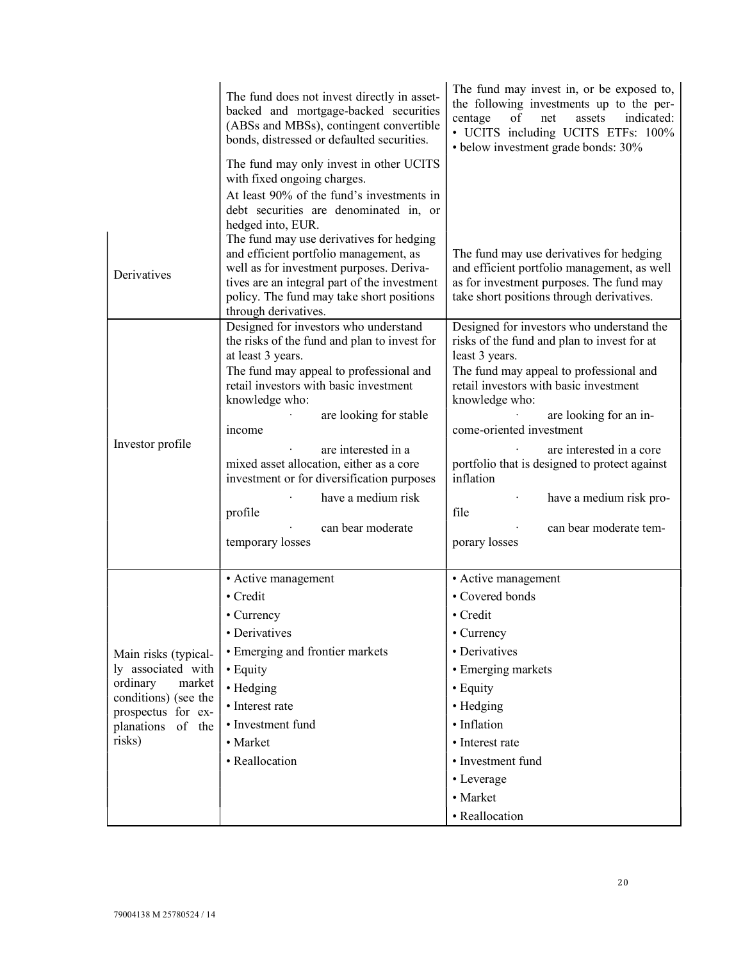|                                                                                                                       | The fund does not invest directly in asset-<br>backed and mortgage-backed securities<br>(ABSs and MBSs), contingent convertible<br>bonds, distressed or defaulted securities.                                                                       | The fund may invest in, or be exposed to,<br>the following investments up to the per-<br>centage<br>of<br>indicated:<br>net<br>assets<br>• UCITS including UCITS ETFs: 100%<br>· below investment grade bonds: 30% |
|-----------------------------------------------------------------------------------------------------------------------|-----------------------------------------------------------------------------------------------------------------------------------------------------------------------------------------------------------------------------------------------------|--------------------------------------------------------------------------------------------------------------------------------------------------------------------------------------------------------------------|
|                                                                                                                       | The fund may only invest in other UCITS<br>with fixed ongoing charges.                                                                                                                                                                              |                                                                                                                                                                                                                    |
|                                                                                                                       | At least 90% of the fund's investments in<br>debt securities are denominated in, or                                                                                                                                                                 |                                                                                                                                                                                                                    |
|                                                                                                                       | hedged into, EUR.                                                                                                                                                                                                                                   |                                                                                                                                                                                                                    |
| Derivatives                                                                                                           | The fund may use derivatives for hedging<br>and efficient portfolio management, as<br>well as for investment purposes. Deriva-<br>tives are an integral part of the investment<br>policy. The fund may take short positions<br>through derivatives. | The fund may use derivatives for hedging<br>and efficient portfolio management, as well<br>as for investment purposes. The fund may<br>take short positions through derivatives.                                   |
|                                                                                                                       | Designed for investors who understand<br>the risks of the fund and plan to invest for                                                                                                                                                               | Designed for investors who understand the<br>risks of the fund and plan to invest for at                                                                                                                           |
|                                                                                                                       | at least 3 years.                                                                                                                                                                                                                                   | least 3 years.                                                                                                                                                                                                     |
|                                                                                                                       | The fund may appeal to professional and<br>retail investors with basic investment                                                                                                                                                                   | The fund may appeal to professional and<br>retail investors with basic investment                                                                                                                                  |
|                                                                                                                       | knowledge who:<br>are looking for stable                                                                                                                                                                                                            | knowledge who:<br>are looking for an in-                                                                                                                                                                           |
|                                                                                                                       | income                                                                                                                                                                                                                                              | come-oriented investment                                                                                                                                                                                           |
| Investor profile                                                                                                      | are interested in a                                                                                                                                                                                                                                 | are interested in a core                                                                                                                                                                                           |
|                                                                                                                       | mixed asset allocation, either as a core<br>investment or for diversification purposes                                                                                                                                                              | portfolio that is designed to protect against<br>inflation                                                                                                                                                         |
|                                                                                                                       | have a medium risk<br>profile                                                                                                                                                                                                                       | have a medium risk pro-<br>file                                                                                                                                                                                    |
|                                                                                                                       | can bear moderate                                                                                                                                                                                                                                   | can bear moderate tem-                                                                                                                                                                                             |
|                                                                                                                       | temporary losses                                                                                                                                                                                                                                    | porary losses                                                                                                                                                                                                      |
|                                                                                                                       | • Active management                                                                                                                                                                                                                                 | • Active management                                                                                                                                                                                                |
|                                                                                                                       | • Credit                                                                                                                                                                                                                                            | • Covered bonds                                                                                                                                                                                                    |
|                                                                                                                       | • Currency                                                                                                                                                                                                                                          | • Credit                                                                                                                                                                                                           |
|                                                                                                                       | • Derivatives                                                                                                                                                                                                                                       | • Currency                                                                                                                                                                                                         |
| Main risks (typical-                                                                                                  | • Emerging and frontier markets                                                                                                                                                                                                                     | • Derivatives                                                                                                                                                                                                      |
| ly associated with<br>ordinary<br>market<br>conditions) (see the<br>prospectus for ex-<br>planations of the<br>risks) | • Equity                                                                                                                                                                                                                                            | • Emerging markets                                                                                                                                                                                                 |
|                                                                                                                       | • Hedging                                                                                                                                                                                                                                           | • Equity                                                                                                                                                                                                           |
|                                                                                                                       | • Interest rate                                                                                                                                                                                                                                     | • Hedging                                                                                                                                                                                                          |
|                                                                                                                       | • Investment fund                                                                                                                                                                                                                                   | · Inflation                                                                                                                                                                                                        |
|                                                                                                                       | • Market                                                                                                                                                                                                                                            | • Interest rate                                                                                                                                                                                                    |
|                                                                                                                       | • Reallocation                                                                                                                                                                                                                                      | • Investment fund                                                                                                                                                                                                  |
|                                                                                                                       |                                                                                                                                                                                                                                                     | • Leverage                                                                                                                                                                                                         |
|                                                                                                                       |                                                                                                                                                                                                                                                     | • Market                                                                                                                                                                                                           |
|                                                                                                                       |                                                                                                                                                                                                                                                     | • Reallocation                                                                                                                                                                                                     |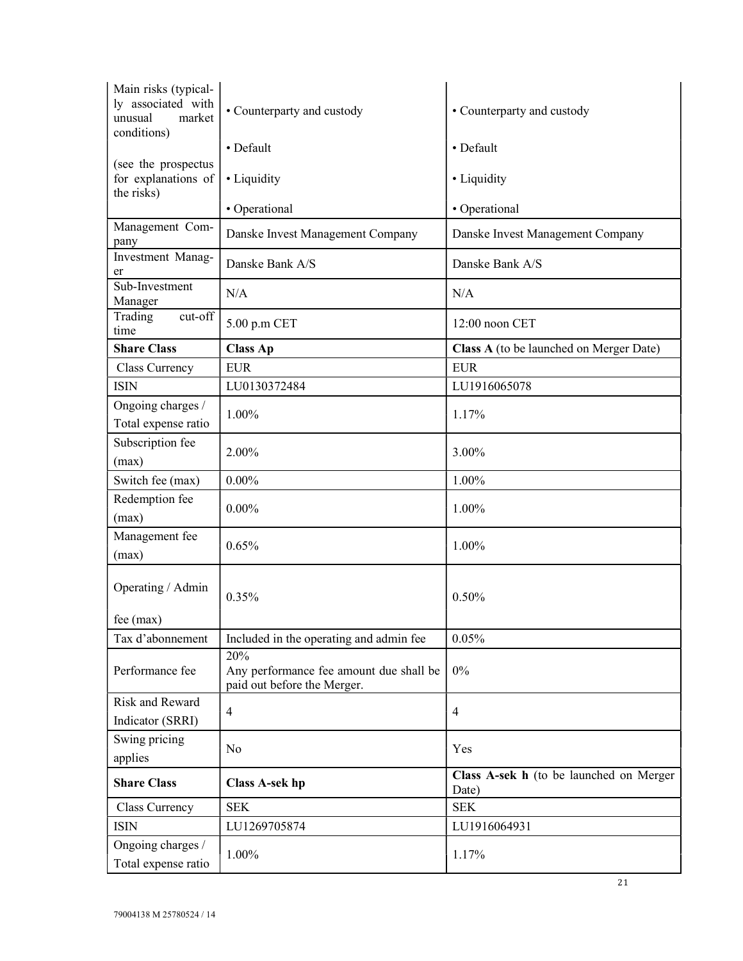| Main risks (typical-<br>ly associated with<br>unusual<br>market<br>conditions) | • Counterparty and custody                                                    | • Counterparty and custody                       |
|--------------------------------------------------------------------------------|-------------------------------------------------------------------------------|--------------------------------------------------|
|                                                                                | • Default                                                                     | • Default                                        |
| (see the prospectus<br>for explanations of<br>the risks)                       | • Liquidity                                                                   | • Liquidity                                      |
|                                                                                | • Operational                                                                 | • Operational                                    |
| Management Com-<br>pany                                                        | Danske Invest Management Company                                              | Danske Invest Management Company                 |
| Investment Manag-<br>er                                                        | Danske Bank A/S                                                               | Danske Bank A/S                                  |
| Sub-Investment<br>Manager                                                      | N/A                                                                           | N/A                                              |
| Trading<br>cut-off<br>time                                                     | 5.00 p.m CET                                                                  | 12:00 noon CET                                   |
| <b>Share Class</b>                                                             | <b>Class Ap</b>                                                               | Class A (to be launched on Merger Date)          |
| Class Currency                                                                 | <b>EUR</b>                                                                    | <b>EUR</b>                                       |
| <b>ISIN</b>                                                                    | LU0130372484                                                                  | LU1916065078                                     |
| Ongoing charges /<br>Total expense ratio                                       | 1.00%                                                                         | 1.17%                                            |
| Subscription fee<br>(max)                                                      | 2.00%                                                                         | 3.00%                                            |
| Switch fee (max)                                                               | $0.00\%$                                                                      | 1.00%                                            |
| Redemption fee<br>(max)                                                        | $0.00\%$                                                                      | 1.00%                                            |
| Management fee<br>(max)                                                        | 0.65%                                                                         | 1.00%                                            |
| Operating / Admin<br>$fee$ (max)                                               | 0.35%                                                                         | 0.50%                                            |
| Tax d'abonnement                                                               | Included in the operating and admin fee                                       | 0.05%                                            |
| Performance fee                                                                | 20%<br>Any performance fee amount due shall be<br>paid out before the Merger. | $0\%$                                            |
| <b>Risk and Reward</b><br>Indicator (SRRI)                                     | 4                                                                             | $\overline{4}$                                   |
| Swing pricing<br>applies                                                       | No                                                                            | Yes                                              |
| <b>Share Class</b>                                                             | <b>Class A-sek hp</b>                                                         | Class A-sek h (to be launched on Merger<br>Date) |
| Class Currency                                                                 | <b>SEK</b>                                                                    | <b>SEK</b>                                       |
| <b>ISIN</b>                                                                    | LU1269705874                                                                  | LU1916064931                                     |
| Ongoing charges /<br>Total expense ratio                                       | 1.00%                                                                         | 1.17%                                            |